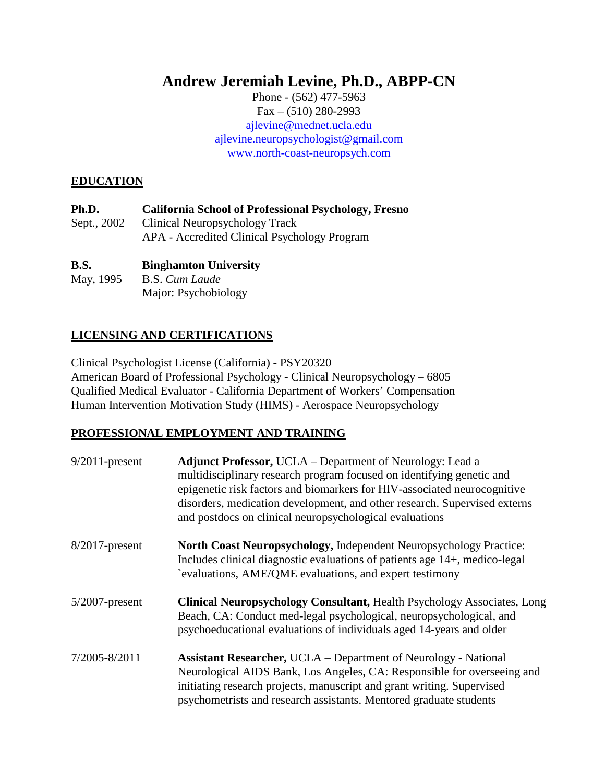# **Andrew Jeremiah Levine, Ph.D., ABPP-CN**

Phone - (562) 477-5963 Fax – (510) 280-2993 [ajlevine@mednet.ucla.edu](mailto:ajlevine@mednet.ucla.edu) [ajlevine.neuropsychologist@gmail.com](mailto:ajlevine.neuropsychologist@gmail.com) [www.north-coast-neuropsych.com](http://www.north-coast-neuropsych.com/)

#### **EDUCATION**

| Ph.D.       | <b>California School of Professional Psychology, Fresno</b> |
|-------------|-------------------------------------------------------------|
| Sept., 2002 | Clinical Neuropsychology Track                              |
|             | APA - Accredited Clinical Psychology Program                |

#### **B.S. Binghamton University**

May, 1995 B.S. *Cum Laude* Major: Psychobiology

# **LICENSING AND CERTIFICATIONS**

Clinical Psychologist License (California) - PSY20320 American Board of Professional Psychology - Clinical Neuropsychology – 6805 Qualified Medical Evaluator - California Department of Workers' Compensation Human Intervention Motivation Study (HIMS) - Aerospace Neuropsychology

#### **PROFESSIONAL EMPLOYMENT AND TRAINING**

| $9/2011$ -present | <b>Adjunct Professor, UCLA</b> – Department of Neurology: Lead a<br>multidisciplinary research program focused on identifying genetic and<br>epigenetic risk factors and biomarkers for HIV-associated neurocognitive<br>disorders, medication development, and other research. Supervised externs<br>and postdocs on clinical neuropsychological evaluations |
|-------------------|---------------------------------------------------------------------------------------------------------------------------------------------------------------------------------------------------------------------------------------------------------------------------------------------------------------------------------------------------------------|
| $8/2017$ -present | North Coast Neuropsychology, Independent Neuropsychology Practice:<br>Includes clinical diagnostic evaluations of patients age 14+, medico-legal<br>evaluations, AME/QME evaluations, and expert testimony                                                                                                                                                    |
| $5/2007$ -present | <b>Clinical Neuropsychology Consultant, Health Psychology Associates, Long</b><br>Beach, CA: Conduct med-legal psychological, neuropsychological, and<br>psychoeducational evaluations of individuals aged 14-years and older                                                                                                                                 |
| 7/2005-8/2011     | <b>Assistant Researcher, UCLA</b> – Department of Neurology - National<br>Neurological AIDS Bank, Los Angeles, CA: Responsible for overseeing and<br>initiating research projects, manuscript and grant writing. Supervised<br>psychometrists and research assistants. Mentored graduate students                                                             |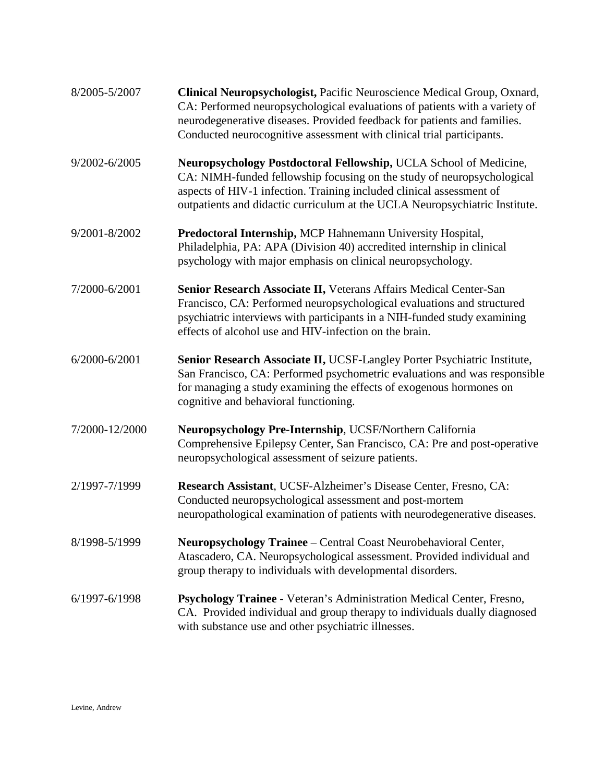| 8/2005-5/2007     | Clinical Neuropsychologist, Pacific Neuroscience Medical Group, Oxnard,<br>CA: Performed neuropsychological evaluations of patients with a variety of<br>neurodegenerative diseases. Provided feedback for patients and families.<br>Conducted neurocognitive assessment with clinical trial participants. |
|-------------------|------------------------------------------------------------------------------------------------------------------------------------------------------------------------------------------------------------------------------------------------------------------------------------------------------------|
| 9/2002-6/2005     | Neuropsychology Postdoctoral Fellowship, UCLA School of Medicine,<br>CA: NIMH-funded fellowship focusing on the study of neuropsychological<br>aspects of HIV-1 infection. Training included clinical assessment of<br>outpatients and didactic curriculum at the UCLA Neuropsychiatric Institute.         |
| 9/2001-8/2002     | Predoctoral Internship, MCP Hahnemann University Hospital,<br>Philadelphia, PA: APA (Division 40) accredited internship in clinical<br>psychology with major emphasis on clinical neuropsychology.                                                                                                         |
| 7/2000-6/2001     | Senior Research Associate II, Veterans Affairs Medical Center-San<br>Francisco, CA: Performed neuropsychological evaluations and structured<br>psychiatric interviews with participants in a NIH-funded study examining<br>effects of alcohol use and HIV-infection on the brain.                          |
| $6/2000 - 6/2001$ | Senior Research Associate II, UCSF-Langley Porter Psychiatric Institute,<br>San Francisco, CA: Performed psychometric evaluations and was responsible<br>for managing a study examining the effects of exogenous hormones on<br>cognitive and behavioral functioning.                                      |
| 7/2000-12/2000    | Neuropsychology Pre-Internship, UCSF/Northern California<br>Comprehensive Epilepsy Center, San Francisco, CA: Pre and post-operative<br>neuropsychological assessment of seizure patients.                                                                                                                 |
| 2/1997-7/1999     | Research Assistant, UCSF-Alzheimer's Disease Center, Fresno, CA:<br>Conducted neuropsychological assessment and post-mortem<br>neuropathological examination of patients with neurodegenerative diseases.                                                                                                  |
| 8/1998-5/1999     | Neuropsychology Trainee - Central Coast Neurobehavioral Center,<br>Atascadero, CA. Neuropsychological assessment. Provided individual and<br>group therapy to individuals with developmental disorders.                                                                                                    |
| 6/1997-6/1998     | Psychology Trainee - Veteran's Administration Medical Center, Fresno,<br>CA. Provided individual and group therapy to individuals dually diagnosed<br>with substance use and other psychiatric illnesses.                                                                                                  |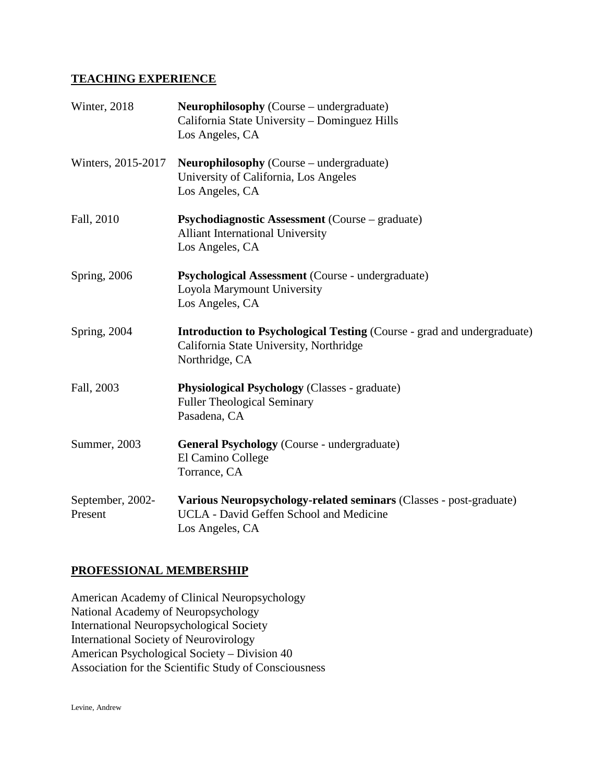#### **TEACHING EXPERIENCE**

| Winter, 2018                | <b>Neurophilosophy</b> (Course – undergraduate)<br>California State University – Dominguez Hills<br>Los Angeles, CA                         |
|-----------------------------|---------------------------------------------------------------------------------------------------------------------------------------------|
| Winters, 2015-2017          | <b>Neurophilosophy</b> (Course – undergraduate)<br>University of California, Los Angeles<br>Los Angeles, CA                                 |
| Fall, 2010                  | <b>Psychodiagnostic Assessment</b> (Course – graduate)<br><b>Alliant International University</b><br>Los Angeles, CA                        |
| Spring, 2006                | Psychological Assessment (Course - undergraduate)<br>Loyola Marymount University<br>Los Angeles, CA                                         |
| Spring, 2004                | <b>Introduction to Psychological Testing (Course - grad and undergraduate)</b><br>California State University, Northridge<br>Northridge, CA |
| Fall, 2003                  | <b>Physiological Psychology</b> (Classes - graduate)<br><b>Fuller Theological Seminary</b><br>Pasadena, CA                                  |
| Summer, 2003                | <b>General Psychology</b> (Course - undergraduate)<br>El Camino College<br>Torrance, CA                                                     |
| September, 2002-<br>Present | Various Neuropsychology-related seminars (Classes - post-graduate)<br><b>UCLA</b> - David Geffen School and Medicine<br>Los Angeles, CA     |

#### **PROFESSIONAL MEMBERSHIP**

American Academy of Clinical Neuropsychology National Academy of Neuropsychology International Neuropsychological Society International Society of Neurovirology American Psychological Society – Division 40 Association for the Scientific Study of Consciousness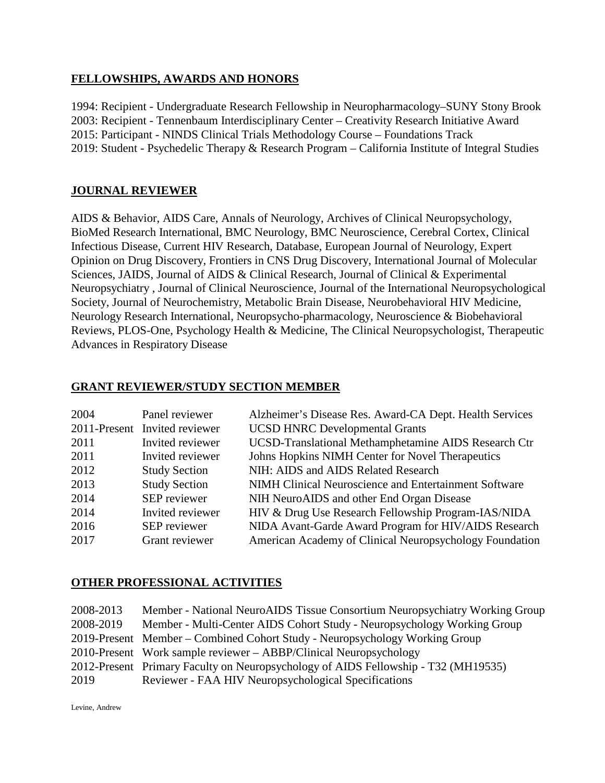#### **FELLOWSHIPS, AWARDS AND HONORS**

1994: Recipient - Undergraduate Research Fellowship in Neuropharmacology–SUNY Stony Brook 2003: Recipient - Tennenbaum Interdisciplinary Center – Creativity Research Initiative Award 2015: Participant - NINDS Clinical Trials Methodology Course – Foundations Track 2019: Student - Psychedelic Therapy & Research Program – California Institute of Integral Studies

#### **JOURNAL REVIEWER**

AIDS & Behavior, AIDS Care, Annals of Neurology, Archives of Clinical Neuropsychology, BioMed Research International, BMC Neurology, BMC Neuroscience, Cerebral Cortex, Clinical Infectious Disease, Current HIV Research, Database, European Journal of Neurology, Expert Opinion on Drug Discovery, Frontiers in CNS Drug Discovery, International Journal of Molecular Sciences, JAIDS, Journal of AIDS & Clinical Research, Journal of Clinical & Experimental Neuropsychiatry , Journal of Clinical Neuroscience, Journal of the International Neuropsychological Society, Journal of Neurochemistry, Metabolic Brain Disease, Neurobehavioral HIV Medicine, Neurology Research International, Neuropsycho-pharmacology, Neuroscience & Biobehavioral Reviews, PLOS-One, Psychology Health & Medicine, The Clinical Neuropsychologist, Therapeutic Advances in Respiratory Disease

| 2004 | Panel reviewer                | Alzheimer's Disease Res. Award-CA Dept. Health Services |
|------|-------------------------------|---------------------------------------------------------|
|      | 2011-Present Invited reviewer | <b>UCSD HNRC Developmental Grants</b>                   |
| 2011 | Invited reviewer              | UCSD-Translational Methamphetamine AIDS Research Ctr    |
| 2011 | Invited reviewer              | Johns Hopkins NIMH Center for Novel Therapeutics        |
| 2012 | <b>Study Section</b>          | NIH: AIDS and AIDS Related Research                     |
| 2013 | <b>Study Section</b>          | NIMH Clinical Neuroscience and Entertainment Software   |
| 2014 | SEP reviewer                  | NIH NeuroAIDS and other End Organ Disease               |
| 2014 | Invited reviewer              | HIV & Drug Use Research Fellowship Program-IAS/NIDA     |
| 2016 | SEP reviewer                  | NIDA Avant-Garde Award Program for HIV/AIDS Research    |
| 2017 | Grant reviewer                | American Academy of Clinical Neuropsychology Foundation |

#### **GRANT REVIEWER/STUDY SECTION MEMBER**

#### **OTHER PROFESSIONAL ACTIVITIES**

2008-2013 Member - National NeuroAIDS Tissue Consortium Neuropsychiatry Working Group 2008-2019 Member - Multi-Center AIDS Cohort Study - Neuropsychology Working Group 2019-Present Member – Combined Cohort Study - Neuropsychology Working Group 2010-Present Work sample reviewer – ABBP/Clinical Neuropsychology 2012-Present Primary Faculty on Neuropsychology of AIDS Fellowship - T32 (MH19535) 2019 Reviewer - FAA HIV Neuropsychological Specifications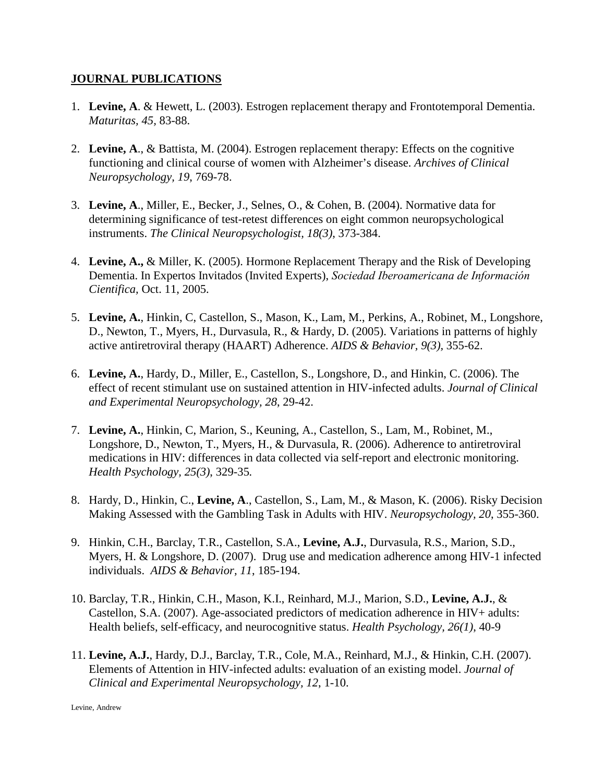#### **JOURNAL PUBLICATIONS**

- 1. **Levine, A**. & Hewett, L. (2003). Estrogen replacement therapy and Frontotemporal Dementia. *Maturitas, 45,* 83-88.
- 2. **Levine, A**., & Battista, M. (2004). Estrogen replacement therapy: Effects on the cognitive functioning and clinical course of women with Alzheimer's disease. *Archives of Clinical Neuropsychology, 19*, 769-78.
- 3. **Levine, A**., Miller, E., Becker, J., Selnes, O., & Cohen, B. (2004). Normative data for determining significance of test-retest differences on eight common neuropsychological instruments. *The Clinical Neuropsychologist, 18(3)*, 373-384.
- 4. **Levine, A.,** & Miller, K. (2005). Hormone Replacement Therapy and the Risk of Developing Dementia. In Expertos Invitados (Invited Experts), *Sociedad Iberoamericana de Informaciόn Cientifica,* Oct. 11, 2005.
- 5. **Levine, A.**, Hinkin, C, Castellon, S., Mason, K., Lam, M., Perkins, A., Robinet, M., Longshore, D., Newton, T., Myers, H., Durvasula, R., & Hardy, D. (2005). Variations in patterns of highly active antiretroviral therapy (HAART) Adherence. *AIDS & Behavior, 9(3),* 355-62.
- 6. **Levine, A.**, Hardy, D., Miller, E., Castellon, S., Longshore, D., and Hinkin, C. (2006). The effect of recent stimulant use on sustained attention in HIV-infected adults. *Journal of Clinical and Experimental Neuropsychology, 28*, 29-42.
- 7. **Levine, A.**, Hinkin, C, Marion, S., Keuning, A., Castellon, S., Lam, M., Robinet, M., Longshore, D., Newton, T., Myers, H., & Durvasula, R. (2006). Adherence to antiretroviral medications in HIV: differences in data collected via self-report and electronic monitoring. *Health Psychology, 25(3)*, 329-35*.*
- 8. Hardy, D., Hinkin, C., **Levine, A**., Castellon, S., Lam, M., & Mason, K. (2006). Risky Decision Making Assessed with the Gambling Task in Adults with HIV. *Neuropsychology, 20*, 355-360.
- 9. Hinkin, C.H., Barclay, T.R., Castellon, S.A., **Levine, A.J.**, Durvasula, R.S., Marion, S.D., Myers, H. & Longshore, D. (2007). Drug use and medication adherence among HIV-1 infected individuals. *AIDS & Behavior, 11*, 185-194.
- 10. Barclay, T.R., Hinkin, C.H., Mason, K.I., Reinhard, M.J., Marion, S.D., **Levine, A.J.**, & Castellon, S.A. (2007). Age-associated predictors of medication adherence in HIV+ adults: Health beliefs, self-efficacy, and neurocognitive status. *Health Psychology, 26(1)*, 40-9
- 11. **Levine, A.J.**, Hardy, D.J., Barclay, T.R., Cole, M.A., Reinhard, M.J., & Hinkin, C.H. (2007). Elements of Attention in HIV-infected adults: evaluation of an existing model. *Journal of Clinical and Experimental Neuropsychology, 12*, 1-10.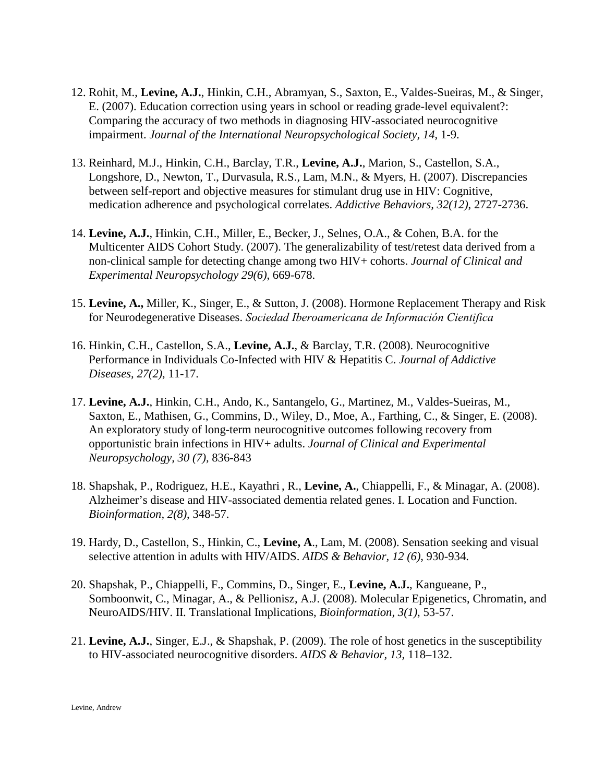- 12. Rohit, M., **Levine, A.J.**, Hinkin, C.H., Abramyan, S., Saxton, E., Valdes-Sueiras, M., & Singer, E. (2007). Education correction using years in school or reading grade-level equivalent?: Comparing the accuracy of two methods in diagnosing HIV-associated neurocognitive impairment. *Journal of the International Neuropsychological Society, 14*, 1-9.
- 13. Reinhard, M.J., Hinkin, C.H., Barclay, T.R., **Levine, A.J.**, Marion, S., Castellon, S.A., Longshore, D., Newton, T., Durvasula, R.S., Lam, M.N., & Myers, H. (2007). Discrepancies between self-report and objective measures for stimulant drug use in HIV: Cognitive, medication adherence and psychological correlates. *Addictive Behaviors, 32(12)*, 2727-2736.
- 14. **Levine, A.J.**, Hinkin, C.H., Miller, E., Becker, J., Selnes, O.A., & Cohen, B.A. for the Multicenter AIDS Cohort Study. (2007). The generalizability of test/retest data derived from a non-clinical sample for detecting change among two HIV+ cohorts. *Journal of Clinical and Experimental Neuropsychology 29(6)*, 669-678.
- 15. **Levine, A.,** Miller, K., Singer, E., & Sutton, J. (2008). Hormone Replacement Therapy and Risk for Neurodegenerative Diseases. *Sociedad Iberoamericana de Informaciόn Cientifica*
- 16. Hinkin, C.H., Castellon, S.A., **Levine, A.J.**, & Barclay, T.R. (2008). Neurocognitive Performance in Individuals Co-Infected with HIV & Hepatitis C. *Journal of Addictive Diseases, 27(2)*, 11-17.
- 17. **Levine, A.J.**, Hinkin, C.H., Ando, K., Santangelo, G., Martinez, M., Valdes-Sueiras, M., Saxton, E., Mathisen, G., Commins, D., Wiley, D., Moe, A., Farthing, C., & Singer, E. (2008). An exploratory study of long-term neurocognitive outcomes following recovery from opportunistic brain infections in HIV+ adults. *Journal of Clinical and Experimental Neuropsychology, 30 (7),* 836-843
- 18. Shapshak, P., Rodriguez, H.E., Kayathri , R., **Levine, A.**, Chiappelli, F., & Minagar, A. (2008). Alzheimer's disease and HIV-associated dementia related genes. I. Location and Function. *Bioinformation, 2(8)*, 348-57.
- 19. Hardy, D., Castellon, S., Hinkin, C., **Levine, A**., Lam, M. (2008). Sensation seeking and visual selective attention in adults with HIV/AIDS. *AIDS & Behavior, 12 (6)*, 930-934.
- 20. Shapshak, P., Chiappelli, F., Commins, D., Singer, E., **Levine, A.J.**, Kangueane, P., Somboonwit, C., Minagar, A., & Pellionisz, A.J. (2008). Molecular Epigenetics, Chromatin, and NeuroAIDS/HIV. II. Translational Implications, *Bioinformation, 3(1)*, 53-57.
- 21. **Levine, A.J.**, Singer, E.J., & Shapshak, P. (2009). The role of host genetics in the susceptibility to HIV-associated neurocognitive disorders. *AIDS & Behavior, 13,* 118–132.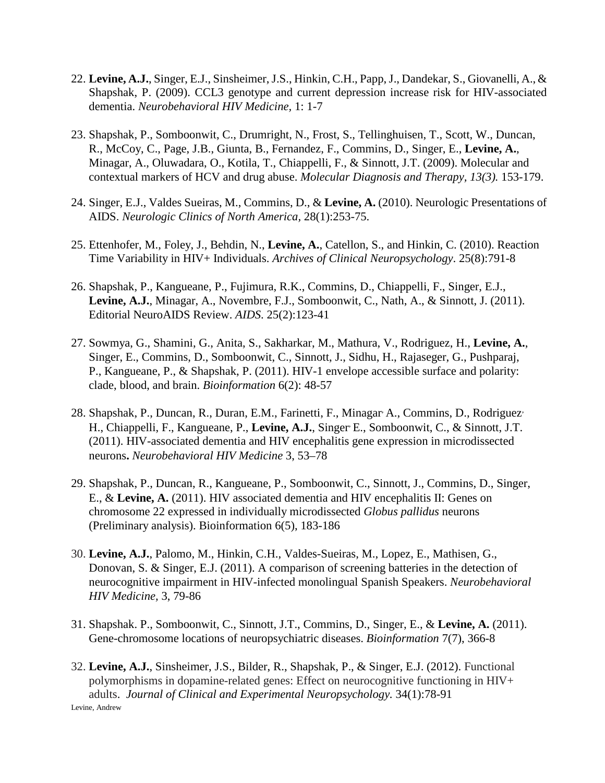- 22. **Levine, A.J.**, Singer, E.J., Sinsheimer, J.S., Hinkin, C.H., Papp, J., Dandekar, S., Giovanelli, A., & Shapshak, P. (2009). CCL3 genotype and current depression increase risk for HIV-associated dementia. *Neurobehavioral HIV Medicine,* 1: 1-7
- 23. Shapshak, P., Somboonwit, C., Drumright, N., Frost, S., Tellinghuisen, T., Scott, W., Duncan, R., McCoy, C., Page, J.B., Giunta, B., Fernandez, F., Commins, D., Singer, E., **Levine, A.**, Minagar, A., Oluwadara, O., Kotila, T., Chiappelli, F., & Sinnott, J.T. (2009). Molecular and contextual markers of HCV and drug abuse. *Molecular Diagnosis and Therapy, 13(3).* 153-179.
- 24. Singer, E.J., Valdes Sueiras, M., Commins, D., & **Levine, A.** (2010). Neurologic Presentations of AIDS. *Neurologic Clinics of North America,* 28(1):253-75.
- 25. Ettenhofer, M., Foley, J., Behdin, N., **Levine, A.**, Catellon, S., and Hinkin, C. (2010). Reaction Time Variability in HIV+ Individuals. *Archives of Clinical Neuropsychology*. 25(8):791-8
- 26. Shapshak, P., Kangueane, P., Fujimura, R.K., Commins, D., Chiappelli, F., Singer, E.J., **Levine, A.J.**, Minagar, A., Novembre, F.J., Somboonwit, C., Nath, A., & Sinnott, J. (2011). Editorial NeuroAIDS Review. *AIDS*. 25(2):123-41
- 27. Sowmya, G., Shamini, G., Anita, S., Sakharkar, M., Mathura, V., Rodriguez, H., **Levine, A.**, Singer, E., Commins, D., Somboonwit, C., Sinnott, J., Sidhu, H., Rajaseger, G., Pushparaj, P., Kangueane, P., & Shapshak, P. (2011). HIV-1 envelope accessible surface and polarity: clade, blood, and brain. *Bioinformation* 6(2): 48-57
- 28. Shapshak, P., Duncan, R., Duran, E.M., Farinetti, F., Minagar, A., Commins, D., Rodriguez, H., Chiappelli, F., Kangueane, P., **Levine, A.J.**, Singer, E., Somboonwit, C., & Sinnott, J.T. (2011). HIV-associated dementia and HIV encephalitis gene expression in microdissected neurons**.** *Neurobehavioral HIV Medicine* 3, 53–78
- 29. Shapshak, P., Duncan, R., Kangueane, P., Somboonwit, C., Sinnott, J., Commins, D., Singer, E., & **Levine, A.** (2011). HIV associated dementia and HIV encephalitis II: Genes on chromosome 22 expressed in individually microdissected *Globus pallidus* neurons (Preliminary analysis). Bioinformation 6(5), 183-186
- 30. **Levine, A.J.**, Palomo, M., Hinkin, C.H., Valdes-Sueiras, M., Lopez, E., Mathisen, G., Donovan, S. & Singer, E.J. (2011). A comparison of screening batteries in the detection of neurocognitive impairment in HIV-infected monolingual Spanish Speakers. *Neurobehavioral HIV Medicine,* 3, 79-86
- 31. Shapshak. P., Somboonwit, C., Sinnott, J.T., Commins, D., Singer, E., & **Levine, A.** (2011). Gene-chromosome locations of neuropsychiatric diseases. *Bioinformation* 7(7), 366-8
- Levine, Andrew 32. **Levine, A.J.**, Sinsheimer, J.S., Bilder, R., Shapshak, P., & Singer, E.J. (2012). Functional polymorphisms in dopamine-related genes: Effect on neurocognitive functioning in HIV+ adults. *Journal of Clinical and Experimental Neuropsychology.* 34(1):78-91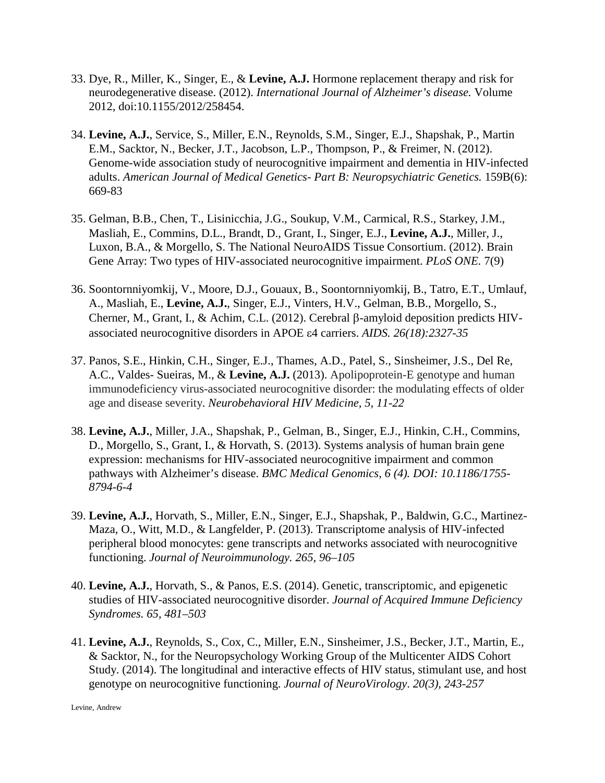- 33. Dye, R., Miller, K., Singer, E., & **Levine, A.J.** Hormone replacement therapy and risk for neurodegenerative disease. (2012). *International Journal of Alzheimer's disease.* Volume 2012, doi:10.1155/2012/258454.
- 34. **Levine, A.J.**, Service, S., Miller, E.N., Reynolds, S.M., Singer, E.J., Shapshak, P., Martin E.M., Sacktor, N., Becker, J.T., Jacobson, L.P., Thompson, P., & Freimer, N. (2012). Genome-wide association study of neurocognitive impairment and dementia in HIV-infected adults. *American Journal of Medical Genetics- Part B: Neuropsychiatric Genetics.* 159B(6): 669-83
- 35. Gelman, B.B., Chen, T., Lisinicchia, J.G., Soukup, V.M., Carmical, R.S., Starkey, J.M., Masliah, E., Commins, D.L., Brandt, D., Grant, I., Singer, E.J., **Levine, A.J.**, Miller, J., Luxon, B.A., & Morgello, S. The National NeuroAIDS Tissue Consortium. (2012). Brain Gene Array: Two types of HIV-associated neurocognitive impairment. *PLoS ONE.* 7(9)
- 36. Soontornniyomkij, V., Moore, D.J., Gouaux, B., Soontornniyomkij, B., Tatro, E.T., Umlauf, A., Masliah, E., **Levine, A.J.**, Singer, E.J., Vinters, H.V., Gelman, B.B., Morgello, S., Cherner, M., Grant, I., & Achim, C.L. (2012). Cerebral β-amyloid deposition predicts HIVassociated neurocognitive disorders in APOE ε4 carriers. *AIDS. 26(18):2327-35*
- 37. Panos, S.E., Hinkin, C.H., Singer, E.J., Thames, A.D., Patel, S., Sinsheimer, J.S., Del Re, A.C., Valdes- Sueiras, M., & **Levine, A.J.** (2013). Apolipoprotein-E genotype and human immunodeficiency virus-associated neurocognitive disorder: the modulating effects of older age and disease severity. *Neurobehavioral HIV Medicine, 5, 11-22*
- 38. **Levine, A.J.**, Miller, J.A., Shapshak, P., Gelman, B., Singer, E.J., Hinkin, C.H., Commins, D., Morgello, S., Grant, I., & Horvath, S. (2013). Systems analysis of human brain gene expression: mechanisms for HIV-associated neurocognitive impairment and common pathways with Alzheimer's disease. *BMC Medical Genomics, 6 (4). DOI: 10.1186/1755- 8794-6-4*
- 39. **Levine, A.J.**, Horvath, S., Miller, E.N., Singer, E.J., Shapshak, P., Baldwin, G.C., Martinez-Maza, O., Witt, M.D., & Langfelder, P. (2013). Transcriptome analysis of HIV-infected peripheral blood monocytes: gene transcripts and networks associated with neurocognitive functioning. *Journal of Neuroimmunology. 265, 96–105*
- 40. **Levine, A.J.**, Horvath, S., & Panos, E.S. (2014). Genetic, transcriptomic, and epigenetic studies of HIV-associated neurocognitive disorder. *Journal of Acquired Immune Deficiency Syndromes. 65, 481–503*
- 41. **Levine, A.J.**, Reynolds, S., Cox, C., Miller, E.N., Sinsheimer, J.S., Becker, J.T., Martin, E., & Sacktor, N., for the Neuropsychology Working Group of the Multicenter AIDS Cohort Study. (2014). The longitudinal and interactive effects of HIV status, stimulant use, and host genotype on neurocognitive functioning. *Journal of NeuroVirology*. *20(3), 243-257*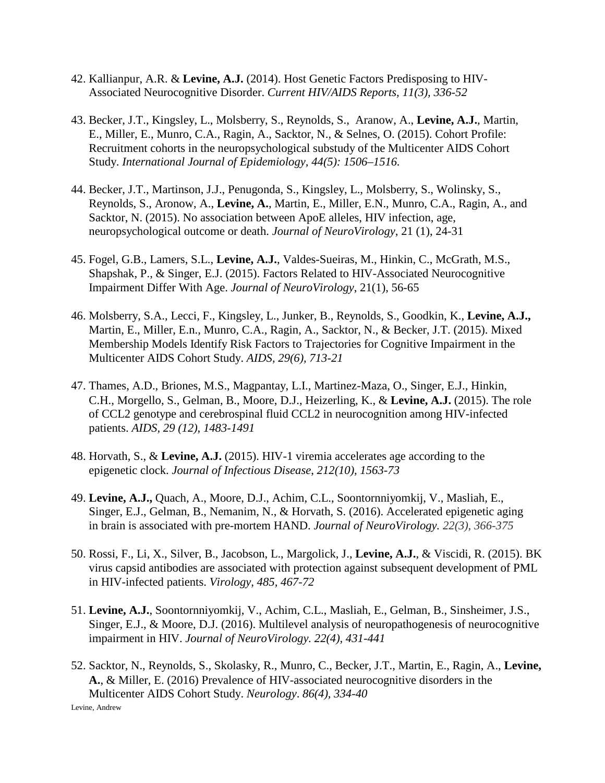- 42. Kallianpur, A.R. & **Levine, A.J.** (2014). Host Genetic Factors Predisposing to HIV-Associated Neurocognitive Disorder. *Current HIV/AIDS Reports, 11(3), 336-52*
- 43. Becker, J.T., Kingsley, L., Molsberry, S., Reynolds, S., Aranow, A., **Levine, A.J.**, Martin, E., Miller, E., Munro, C.A., Ragin, A., Sacktor, N., & Selnes, O. (2015). Cohort Profile: Recruitment cohorts in the neuropsychological substudy of the Multicenter AIDS Cohort Study. *International Journal of Epidemiology, 44(5): 1506–1516.*
- 44. Becker, J.T., Martinson, J.J., Penugonda, S., Kingsley, L., Molsberry, S., Wolinsky, S., Reynolds, S., Aronow, A., **Levine, A.**, Martin, E., Miller, E.N., Munro, C.A., Ragin, A., and Sacktor, N. (2015). No association between ApoE alleles, HIV infection, age, neuropsychological outcome or death. *Journal of NeuroVirology*, 21 (1), 24-31
- 45. Fogel, G.B., Lamers, S.L., **Levine, A.J.**, Valdes-Sueiras, M., Hinkin, C., McGrath, M.S., Shapshak, P., & Singer, E.J. (2015). Factors Related to HIV-Associated Neurocognitive Impairment Differ With Age. *Journal of NeuroVirology*, 21(1), 56-65
- 46. Molsberry, S.A., Lecci, F., Kingsley, L., Junker, B., Reynolds, S., Goodkin, K., **Levine, A.J.,**  Martin, E., Miller, E.n., Munro, C.A., Ragin, A., Sacktor, N., & Becker, J.T. (2015). Mixed Membership Models Identify Risk Factors to Trajectories for Cognitive Impairment in the Multicenter AIDS Cohort Study. *AIDS, 29(6), 713-21*
- 47. Thames, A.D., Briones, M.S., Magpantay, L.I., Martinez-Maza, O., Singer, E.J., Hinkin, C.H., Morgello, S., Gelman, B., Moore, D.J., Heizerling, K., & **Levine, A.J.** (2015). The role of CCL2 genotype and cerebrospinal fluid CCL2 in neurocognition among HIV-infected patients. *AIDS, 29 (12), 1483-1491*
- 48. Horvath, S., & **Levine, A.J.** (2015). HIV-1 viremia accelerates age according to the epigenetic clock. *Journal of Infectious Disease*, *212(10), 1563-73*
- 49. **Levine, A.J.,** Quach, A., Moore, D.J., Achim, C.L., Soontornniyomkij, V., Masliah, E., Singer, E.J., Gelman, B., Nemanim, N., & Horvath, S. (2016). Accelerated epigenetic aging in brain is associated with pre-mortem HAND. *Journal of NeuroVirology. 22(3), 366-375*
- 50. Rossi, F., Li, X., Silver, B., Jacobson, L., Margolick, J., **Levine, A.J.**, & Viscidi, R. (2015). BK virus capsid antibodies are associated with protection against subsequent development of PML in HIV-infected patients. *Virology, 485, 467-72*
- 51. **Levine, A.J.**, Soontornniyomkij, V., Achim, C.L., Masliah, E., Gelman, B., Sinsheimer, J.S., Singer, E.J., & Moore, D.J. (2016). Multilevel analysis of neuropathogenesis of neurocognitive impairment in HIV. *Journal of NeuroVirology. 22(4), 431-441*
- 52. Sacktor, N., Reynolds, S., Skolasky, R., Munro, C., Becker, J.T., Martin, E., Ragin, A., **Levine, A.**, & Miller, E. (2016) Prevalence of HIV-associated neurocognitive disorders in the Multicenter AIDS Cohort Study. *Neurology*. *86(4), 334-40*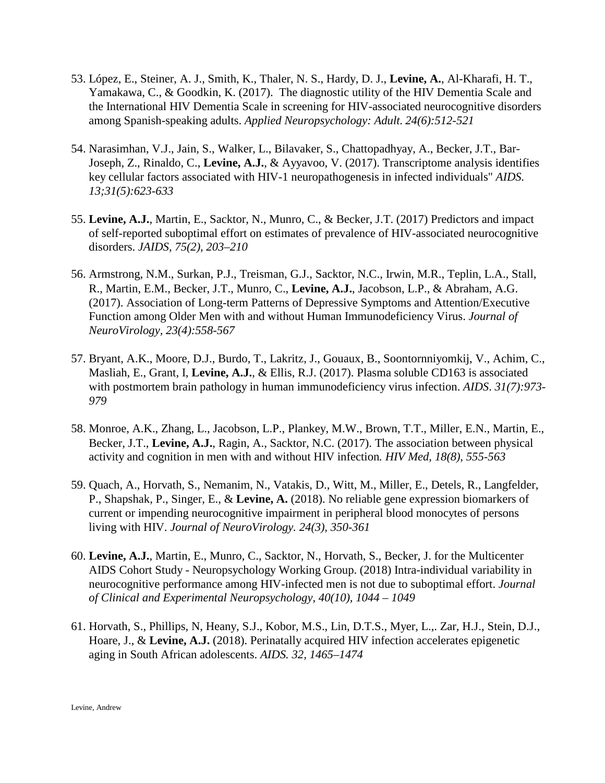- 53. López, E., Steiner, A. J., Smith, K., Thaler, N. S., Hardy, D. J., **Levine, A.**, Al-Kharafi, H. T., Yamakawa, C., & Goodkin, K. (2017). The diagnostic utility of the HIV Dementia Scale and the International HIV Dementia Scale in screening for HIV-associated neurocognitive disorders among Spanish-speaking adults. *Applied Neuropsychology: Adult. 24(6):512-521*
- 54. Narasimhan, V.J., Jain, S., Walker, L., Bilavaker, S., Chattopadhyay, A., Becker, J.T., Bar-Joseph, Z., Rinaldo, C., **Levine, A.J.**, & Ayyavoo, V. (2017). Transcriptome analysis identifies key cellular factors associated with HIV-1 neuropathogenesis in infected individuals" *AIDS. 13;31(5):623-633*
- 55. **Levine, A.J.**, Martin, E., Sacktor, N., Munro, C., & Becker, J.T. (2017) Predictors and impact of self-reported suboptimal effort on estimates of prevalence of HIV-associated neurocognitive disorders. *JAIDS, 75(2), 203–210*
- 56. Armstrong, N.M., Surkan, P.J., Treisman, G.J., Sacktor, N.C., Irwin, M.R., Teplin, L.A., Stall, R., Martin, E.M., Becker, J.T., Munro, C., **Levine, A.J.**, Jacobson, L.P., & Abraham, A.G. (2017). Association of Long-term Patterns of Depressive Symptoms and Attention/Executive Function among Older Men with and without Human Immunodeficiency Virus. *Journal of NeuroVirology, 23(4):558-567*
- 57. Bryant, A.K., Moore, D.J., Burdo, T., Lakritz, J., Gouaux, B., Soontornniyomkij, V., Achim, C., Masliah, E., Grant, I, **Levine, A.J.**, & Ellis, R.J. (2017). Plasma soluble CD163 is associated with postmortem brain pathology in human immunodeficiency virus infection. *AIDS*. *31(7):973- 979*
- 58. Monroe, A.K., Zhang, L., Jacobson, L.P., Plankey, M.W., Brown, T.T., Miller, E.N., Martin, E., Becker, J.T., **Levine, A.J.**, Ragin, A., Sacktor, N.C. (2017). The association between physical activity and cognition in men with and without HIV infection*. HIV Med, 18(8), 555-563*
- 59. Quach, A., Horvath, S., Nemanim, N., Vatakis, D., Witt, M., Miller, E., Detels, R., Langfelder, P., Shapshak, P., Singer, E., & **Levine, A.** (2018). No reliable gene expression biomarkers of current or impending neurocognitive impairment in peripheral blood monocytes of persons living with HIV. *Journal of NeuroVirology. 24(3), 350-361*
- 60. **Levine, A.J.**, Martin, E., Munro, C., Sacktor, N., Horvath, S., Becker, J. for the Multicenter AIDS Cohort Study - Neuropsychology Working Group. (2018) Intra-individual variability in neurocognitive performance among HIV-infected men is not due to suboptimal effort. *Journal of Clinical and Experimental Neuropsychology, 40(10), 1044 – 1049*
- 61. Horvath, S., Phillips, N, Heany, S.J., Kobor, M.S., Lin, D.T.S., Myer, L.,. Zar, H.J., Stein, D.J., Hoare, J., & **Levine, A.J.** (2018). Perinatally acquired HIV infection accelerates epigenetic aging in South African adolescents. *AIDS. 32, 1465–1474*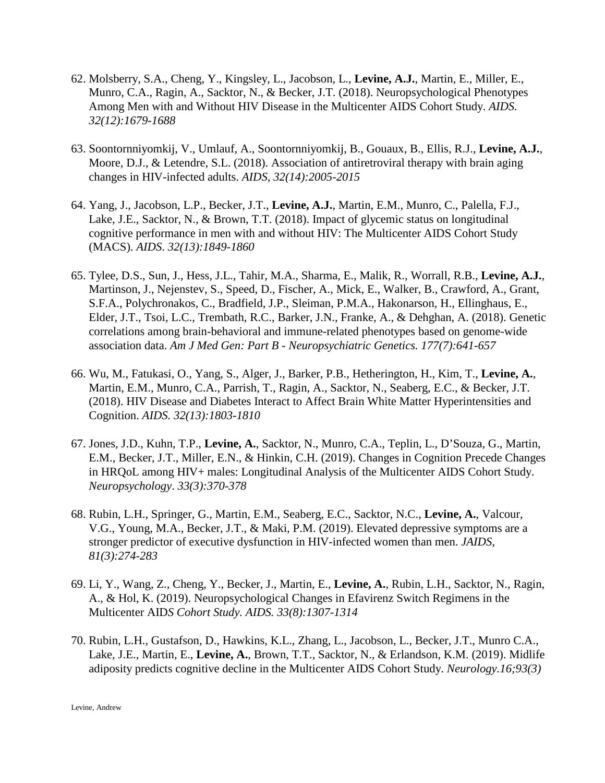- 62. Molsberry, S.A., Cheng, Y., Kingsley, L., Jacobson, L., **Levine, A.J.**, Martin, E., Miller, E., Munro, C.A., Ragin, A., Sacktor, N., & Becker, J.T. (2018). Neuropsychological Phenotypes Among Men with and Without HIV Disease in the Multicenter AIDS Cohort Study. *AIDS. 32(12):1679-1688*
- 63. Soontornniyomkij, V., Umlauf, A., Soontornniyomkij, B., Gouaux, B., Ellis, R.J., **Levine, A.J.**, Moore, D.J., & Letendre, S.L. (2018). Association of antiretroviral therapy with brain aging changes in HIV-infected adults. *AIDS, 32(14):2005-2015*
- 64. Yang, J., Jacobson, L.P., Becker, J.T., **Levine, A.J.**, Martin, E.M., Munro, C., Palella, F.J., Lake, J.E., Sacktor, N., & Brown, T.T. (2018). Impact of glycemic status on longitudinal cognitive performance in men with and without HIV: The Multicenter AIDS Cohort Study (MACS). *AIDS*. *32(13):1849-1860*
- 65. Tylee, D.S., Sun, J., Hess, J.L., Tahir, M.A., Sharma, E., Malik, R., Worrall, R.B., **Levine, A.J.**, Martinson, J., Nejenstev, S., Speed, D., Fischer, A., Mick, E., Walker, B., Crawford, A., Grant, S.F.A., Polychronakos, C., Bradfield, J.P., Sleiman, P.M.A., Hakonarson, H., Ellinghaus, E., Elder, J.T., Tsoi, L.C., Trembath, R.C., Barker, J.N., Franke, A., & Dehghan, A. (2018). Genetic correlations among brain-behavioral and immune-related phenotypes based on genome-wide association data. *Am J Med Gen: Part B - Neuropsychiatric Genetics. 177(7):641-657*
- 66. Wu, M., Fatukasi, O., Yang, S., Alger, J., Barker, P.B., Hetherington, H., Kim, T., **Levine, A.**, Martin, E.M., Munro, C.A., Parrish, T., Ragin, A., Sacktor, N., Seaberg, E.C., & Becker, J.T. (2018). HIV Disease and Diabetes Interact to Affect Brain White Matter Hyperintensities and Cognition. *AIDS. 32(13):1803-1810*
- 67. Jones, J.D., Kuhn, T.P., **Levine, A.**, Sacktor, N., Munro, C.A., Teplin, L., D'Souza, G., Martin, E.M., Becker, J.T., Miller, E.N., & Hinkin, C.H. (2019). Changes in Cognition Precede Changes in HRQoL among HIV+ males: Longitudinal Analysis of the Multicenter AIDS Cohort Study. *Neuropsychology*. *33(3):370-378*
- 68. Rubin, L.H., Springer, G., Martin, E.M., Seaberg, E.C., Sacktor, N.C., **Levine, A.**, Valcour, V.G., Young, M.A., Becker, J.T., & Maki, P.M. (2019). Elevated depressive symptoms are a stronger predictor of executive dysfunction in HIV-infected women than men. *JAIDS, 81(3):274-283*
- 69. Li, Y., Wang, Z., Cheng, Y., Becker, J., Martin, E., **Levine, A.**, Rubin, L.H., Sacktor, N., Ragin, A., & Hol, K. (2019). Neuropsychological Changes in Efavirenz Switch Regimens in the Multicenter AID*S Cohort Study. AIDS. 33(8):1307-1314*
- 70. Rubin, L.H., Gustafson, D., Hawkins, K.L., Zhang, L., Jacobson, L., Becker, J.T., Munro C.A., Lake, J.E., Martin, E., **Levine, A.**, Brown, T.T., Sacktor, N., & Erlandson, K.M. (2019). Midlife adiposity predicts cognitive decline in the Multicenter AIDS Cohort Study. *Neurology.16;93(3)*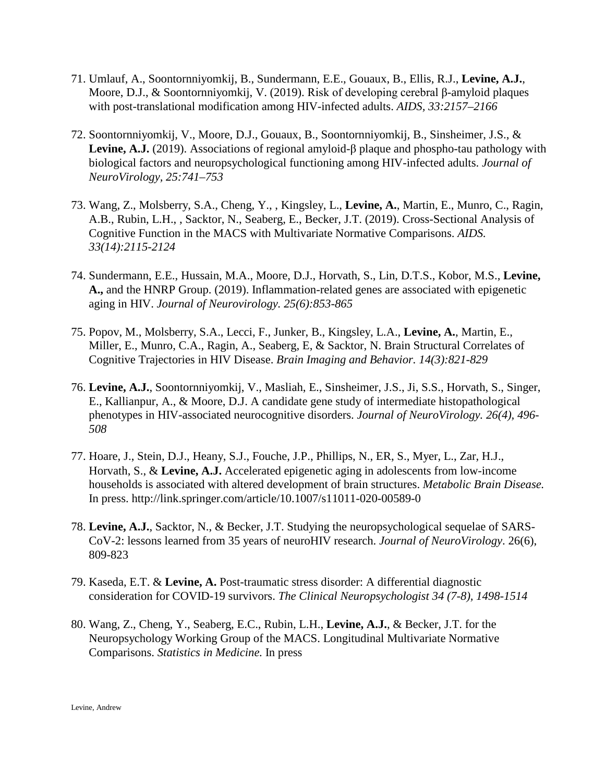- 71. Umlauf, A., Soontornniyomkij, B., Sundermann, E.E., Gouaux, B., Ellis, R.J., **Levine, A.J.**, Moore, D.J., & Soontornniyomkij, V. (2019). Risk of developing cerebral β-amyloid plaques with post-translational modification among HIV-infected adults. *AIDS, 33:2157–2166*
- 72. Soontornniyomkij, V., Moore, D.J., Gouaux, B., Soontornniyomkij, B., Sinsheimer, J.S., & **Levine, A.J.** (2019). Associations of regional amyloid-β plaque and phospho-tau pathology with biological factors and neuropsychological functioning among HIV-infected adults. *Journal of NeuroVirology, 25:741–753*
- 73. Wang, Z., Molsberry, S.A., Cheng, Y., , Kingsley, L., **Levine, A.**, Martin, E., Munro, C., Ragin, A.B., Rubin, L.H., , Sacktor, N., Seaberg, E., Becker, J.T. (2019). Cross-Sectional Analysis of Cognitive Function in the MACS with Multivariate Normative Comparisons. *AIDS. 33(14):2115-2124*
- 74. Sundermann, E.E., Hussain, M.A., Moore, D.J., Horvath, S., Lin, D.T.S., Kobor, M.S., **Levine, A.,** and the HNRP Group. (2019). Inflammation-related genes are associated with epigenetic aging in HIV. *Journal of Neurovirology. 25(6):853-865*
- 75. Popov, M., Molsberry, S.A., Lecci, F., Junker, B., Kingsley, L.A., **Levine, A.**, Martin, E., Miller, E., Munro, C.A., Ragin, A., Seaberg, E, & Sacktor, N. Brain Structural Correlates of Cognitive Trajectories in HIV Disease. *Brain Imaging and Behavior. 14(3):821-829*
- 76. **Levine, A.J.**, Soontornniyomkij, V., Masliah, E., Sinsheimer, J.S., Ji, S.S., Horvath, S., Singer, E., Kallianpur, A., & Moore, D.J. A candidate gene study of intermediate histopathological phenotypes in HIV-associated neurocognitive disorders. *Journal of NeuroVirology. 26(4), 496- 508*
- 77. Hoare, J., Stein, D.J., Heany, S.J., Fouche, J.P., Phillips, N., ER, S., Myer, L., Zar, H.J., Horvath, S., & **Levine, A.J.** Accelerated epigenetic aging in adolescents from low-income households is associated with altered development of brain structures. *Metabolic Brain Disease.* In press. http://link.springer.com/article/10.1007/s11011-020-00589-0
- 78. **Levine, A.J.**, Sacktor, N., & Becker, J.T. Studying the neuropsychological sequelae of SARS-CoV-2: lessons learned from 35 years of neuroHIV research. *Journal of NeuroVirology*. 26(6), 809-823
- 79. Kaseda, E.T. & **Levine, A.** Post-traumatic stress disorder: A differential diagnostic consideration for COVID-19 survivors. *The Clinical Neuropsychologist 34 (7-8), 1498-1514*
- 80. Wang, Z., Cheng, Y., Seaberg, E.C., Rubin, L.H., **Levine, A.J.**, & Becker, J.T. for the Neuropsychology Working Group of the MACS. Longitudinal Multivariate Normative Comparisons. *Statistics in Medicine.* In press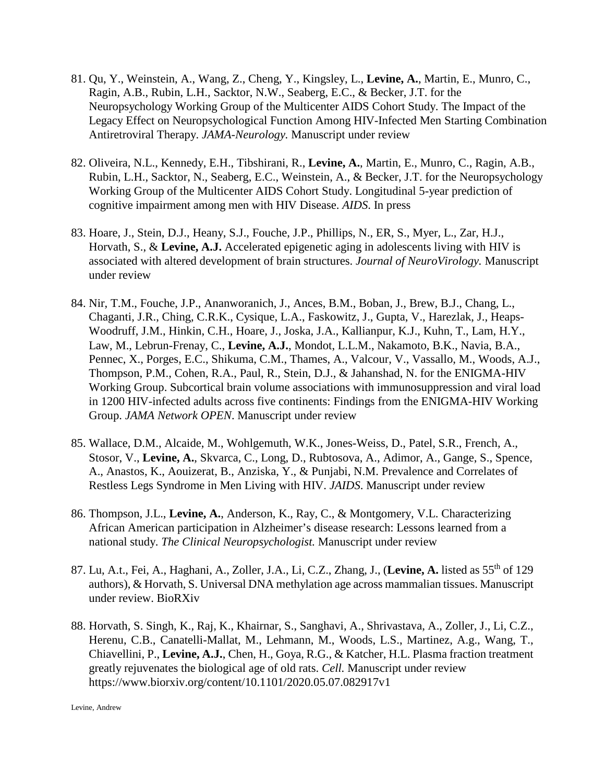- 81. Qu, Y., Weinstein, A., Wang, Z., Cheng, Y., Kingsley, L., **Levine, A.**, Martin, E., Munro, C., Ragin, A.B., Rubin, L.H., Sacktor, N.W., Seaberg, E.C., & Becker, J.T. for the Neuropsychology Working Group of the Multicenter AIDS Cohort Study. The Impact of the Legacy Effect on Neuropsychological Function Among HIV-Infected Men Starting Combination Antiretroviral Therapy. *JAMA-Neurology.* Manuscript under review
- 82. Oliveira, N.L., Kennedy, E.H., Tibshirani, R., **Levine, A.**, Martin, E., Munro, C., Ragin, A.B., Rubin, L.H., Sacktor, N., Seaberg, E.C., Weinstein, A., & Becker, J.T. for the Neuropsychology Working Group of the Multicenter AIDS Cohort Study. Longitudinal 5-year prediction of cognitive impairment among men with HIV Disease. *AIDS*. In press
- 83. Hoare, J., Stein, D.J., Heany, S.J., Fouche, J.P., Phillips, N., ER, S., Myer, L., Zar, H.J., Horvath, S., & **Levine, A.J.** Accelerated epigenetic aging in adolescents living with HIV is associated with altered development of brain structures. *Journal of NeuroVirology.* Manuscript under review
- 84. Nir, T.M., Fouche, J.P., Ananworanich, J., Ances, B.M., Boban, J., Brew, B.J., Chang, L., Chaganti, J.R., Ching, C.R.K., Cysique, L.A., Faskowitz, J., Gupta, V., Harezlak, J., Heaps-Woodruff, J.M., Hinkin, C.H., Hoare, J., Joska, J.A., Kallianpur, K.J., Kuhn, T., Lam, H.Y., Law, M., Lebrun-Frenay, C., **Levine, A.J.**, Mondot, L.L.M., Nakamoto, B.K., Navia, B.A., Pennec, X., Porges, E.C., Shikuma, C.M., Thames, A., Valcour, V., Vassallo, M., Woods, A.J., Thompson, P.M., Cohen, R.A., Paul, R., Stein, D.J., & Jahanshad, N. for the ENIGMA-HIV Working Group. Subcortical brain volume associations with immunosuppression and viral load in 1200 HIV-infected adults across five continents: Findings from the ENIGMA-HIV Working Group. *JAMA Network OPEN*. Manuscript under review
- 85. Wallace, D.M., Alcaide, M., Wohlgemuth, W.K., Jones-Weiss, D., Patel, S.R., French, A., Stosor, V., **Levine, A.**, Skvarca, C., Long, D., Rubtosova, A., Adimor, A., Gange, S., Spence, A., Anastos, K., Aouizerat, B., Anziska, Y., & Punjabi, N.M. Prevalence and Correlates of Restless Legs Syndrome in Men Living with HIV. *JAIDS*. Manuscript under review
- 86. Thompson, J.L., **Levine, A.**, Anderson, K., Ray, C., & Montgomery, V.L. Characterizing African American participation in Alzheimer's disease research: Lessons learned from a national study. *The Clinical Neuropsychologist.* Manuscript under review
- 87. Lu, A.t., Fei, A., Haghani, A., Zoller, J.A., Li, C.Z., Zhang, J., (**Levine, A.** listed as 55th of 129 authors), & Horvath, S. Universal DNA methylation age across mammalian tissues. Manuscript under review. BioRXiv
- 88. Horvath, S. Singh, K., Raj, K., Khairnar, S., Sanghavi, A., Shrivastava, A., Zoller, J., Li, C.Z., Herenu, C.B., Canatelli-Mallat, M., Lehmann, M., Woods, L.S., Martinez, A.g., Wang, T., Chiavellini, P., **Levine, A.J.**, Chen, H., Goya, R.G., & Katcher, H.L. Plasma fraction treatment greatly rejuvenates the biological age of old rats. *Cell.* Manuscript under review <https://www.biorxiv.org/content/10.1101/2020.05.07.082917v1>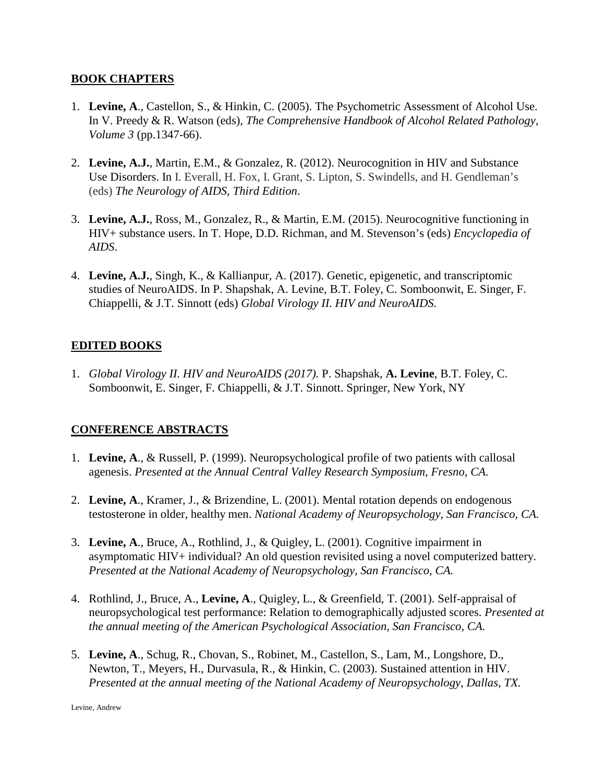#### **BOOK CHAPTERS**

- 1. **Levine, A**., Castellon, S., & Hinkin, C. (2005). The Psychometric Assessment of Alcohol Use. In V. Preedy & R. Watson (eds), *The Comprehensive Handbook of Alcohol Related Pathology, Volume 3* (pp.1347-66).
- 2. **Levine, A.J.**, Martin, E.M., & Gonzalez, R. (2012). Neurocognition in HIV and Substance Use Disorders. In I. Everall, H. Fox, I. Grant, S. Lipton, S. Swindells, and H. Gendleman's (eds) *The Neurology of AIDS, Third Edition*.
- 3. **Levine, A.J.**, Ross, M., Gonzalez, R., & Martin, E.M. (2015). Neurocognitive functioning in HIV+ substance users. In T. Hope, D.D. Richman, and M. Stevenson's (eds) *Encyclopedia of AIDS*.
- 4. **Levine, A.J.**, Singh, K., & Kallianpur, A. (2017). Genetic, epigenetic, and transcriptomic studies of NeuroAIDS. In P. Shapshak, A. Levine, B.T. Foley, C. Somboonwit, E. Singer, F. Chiappelli, & J.T. Sinnott (eds) *Global Virology II. HIV and NeuroAIDS.*

### **EDITED BOOKS**

1. *Global Virology II. HIV and NeuroAIDS (2017).* P. Shapshak, **A. Levine**, B.T. Foley, C. Somboonwit, E. Singer, F. Chiappelli, & J.T. Sinnott. Springer, New York, NY

#### **CONFERENCE ABSTRACTS**

- 1. **Levine, A**., & Russell, P. (1999). Neuropsychological profile of two patients with callosal agenesis. *Presented at the Annual Central Valley Research Symposium, Fresno, CA.*
- 2. **Levine, A**., Kramer, J., & Brizendine, L. (2001). Mental rotation depends on endogenous testosterone in older, healthy men. *National Academy of Neuropsychology, San Francisco, CA.*
- 3. **Levine, A**., Bruce, A., Rothlind, J., & Quigley, L. (2001). Cognitive impairment in asymptomatic HIV+ individual? An old question revisited using a novel computerized battery. *Presented at the National Academy of Neuropsychology, San Francisco, CA.*
- 4. Rothlind, J., Bruce, A., **Levine, A**., Quigley, L., & Greenfield, T. (2001). Self-appraisal of neuropsychological test performance: Relation to demographically adjusted scores. *Presented at the annual meeting of the American Psychological Association, San Francisco, CA.*
- 5. **Levine, A**., Schug, R., Chovan, S., Robinet, M., Castellon, S., Lam, M., Longshore, D., Newton, T., Meyers, H., Durvasula, R., & Hinkin, C. (2003). Sustained attention in HIV. *Presented at the annual meeting of the National Academy of Neuropsychology, Dallas, TX.*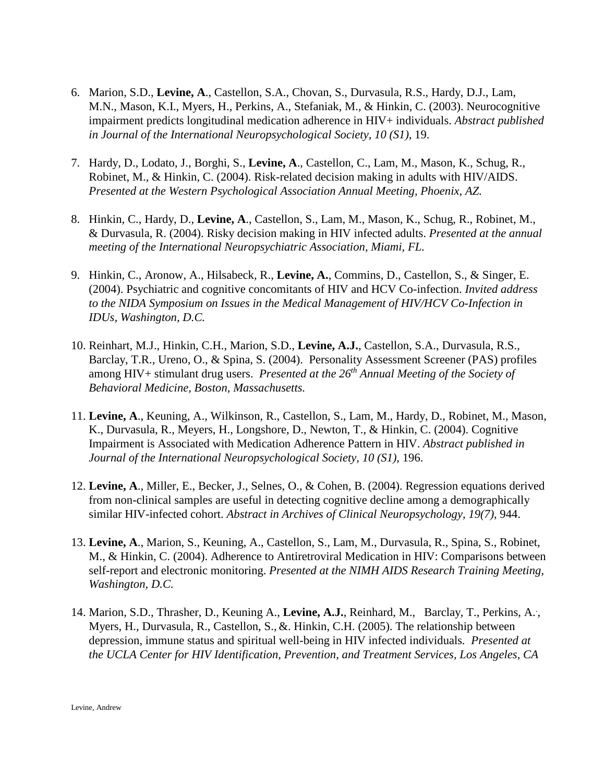- 6. Marion, S.D., **Levine, A**., Castellon, S.A., Chovan, S., Durvasula, R.S., Hardy, D.J., Lam, M.N., Mason, K.I., Myers, H., Perkins, A., Stefaniak, M., & Hinkin, C. (2003). Neurocognitive impairment predicts longitudinal medication adherence in HIV+ individuals. *Abstract published in Journal of the International Neuropsychological Society*, *10 (S1)*, 19.
- 7. Hardy, D., Lodato, J., Borghi, S., **Levine, A**., Castellon, C., Lam, M., Mason, K., Schug, R., Robinet, M., & Hinkin, C. (2004). Risk-related decision making in adults with HIV/AIDS. *Presented at the Western Psychological Association Annual Meeting, Phoenix, AZ.*
- 8. Hinkin, C., Hardy, D., **Levine, A**., Castellon, S., Lam, M., Mason, K., Schug, R., Robinet, M., & Durvasula, R. (2004). Risky decision making in HIV infected adults. *Presented at the annual meeting of the International Neuropsychiatric Association, Miami, FL.*
- 9. Hinkin, C., Aronow, A., Hilsabeck, R., **Levine, A.**, Commins, D., Castellon, S., & Singer, E. (2004). Psychiatric and cognitive concomitants of HIV and HCV Co-infection. *Invited address to the NIDA Symposium on Issues in the Medical Management of HIV/HCV Co-Infection in IDUs, Washington, D.C.*
- 10. Reinhart, M.J., Hinkin, C.H., Marion, S.D., **Levine, A.J.**, Castellon, S.A., Durvasula, R.S., Barclay, T.R., Ureno, O., & Spina, S. (2004). Personality Assessment Screener (PAS) profiles among HIV+ stimulant drug users. *Presented at the 26th Annual Meeting of the Society of Behavioral Medicine, Boston, Massachusetts.*
- 11. **Levine, A**., Keuning, A., Wilkinson, R., Castellon, S., Lam, M., Hardy, D., Robinet, M., Mason, K., Durvasula, R., Meyers, H., Longshore, D., Newton, T., & Hinkin, C. (2004). Cognitive Impairment is Associated with Medication Adherence Pattern in HIV. *Abstract published in Journal of the International Neuropsychological Society, 10 (S1)*, 196.
- 12. **Levine, A**., Miller, E., Becker, J., Selnes, O., & Cohen, B. (2004). Regression equations derived from non-clinical samples are useful in detecting cognitive decline among a demographically similar HIV-infected cohort. *Abstract in Archives of Clinical Neuropsychology, 19(7)*, 944.
- 13. **Levine, A**., Marion, S., Keuning, A., Castellon, S., Lam, M., Durvasula, R., Spina, S., Robinet, M., & Hinkin, C. (2004). Adherence to Antiretroviral Medication in HIV: Comparisons between self-report and electronic monitoring. *Presented at the NIMH AIDS Research Training Meeting, Washington, D.C.*
- 14. Marion, S.D., Thrasher, D., Keuning A., Levine, A.J., Reinhard, M., Barclay, T., Perkins, A., Myers, H., Durvasula, R., Castellon, S., &. Hinkin, C.H. (2005). The relationship between depression, immune status and spiritual well-being in HIV infected individuals*. Presented at the UCLA Center for HIV Identification, Prevention, and Treatment Services, Los Angeles, CA*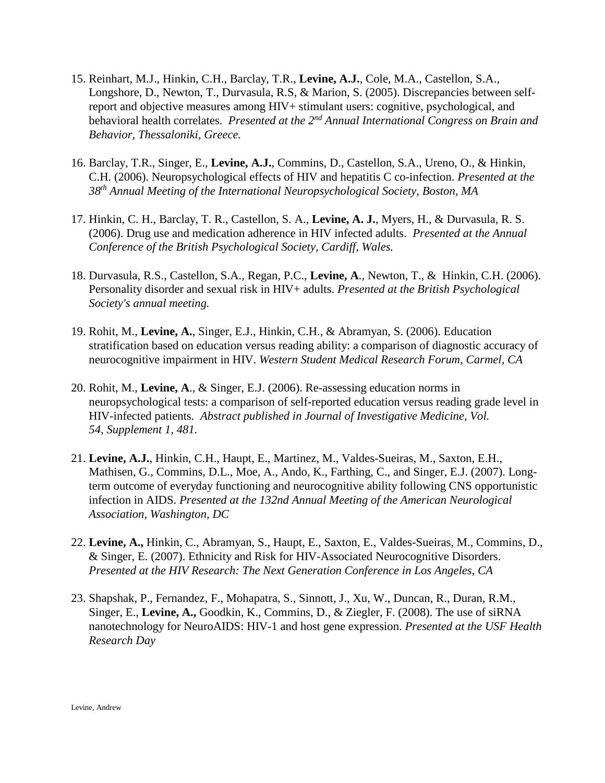- 15. Reinhart, M.J., Hinkin, C.H., Barclay, T.R., **Levine, A.J.**, Cole, M.A., Castellon, S.A., Longshore, D., Newton, T., Durvasula, R.S, & Marion, S. (2005). Discrepancies between selfreport and objective measures among HIV+ stimulant users: cognitive, psychological, and behavioral health correlates. *Presented at the 2nd Annual International Congress on Brain and Behavior, Thessaloniki, Greece.*
- 16. Barclay, T.R., Singer, E., **Levine, A.J.**, Commins, D., Castellon, S.A., Ureno, O., & Hinkin, C.H. (2006). Neuropsychological effects of HIV and hepatitis C co-infection. *Presented at the 38th Annual Meeting of the International Neuropsychological Society, Boston, MA*
- 17. Hinkin, C. H., Barclay, T. R., Castellon, S. A., **Levine, A. J.**, Myers, H., & Durvasula, R. S. (2006). Drug use and medication adherence in HIV infected adults. *Presented at the Annual Conference of the British Psychological Society, Cardiff, Wales.*
- 18. Durvasula, R.S., Castellon, S.A., Regan, P.C., **Levine, A**., Newton, T., & Hinkin, C.H. (2006). Personality disorder and sexual risk in HIV+ adults. *Presented at the British Psychological Society's annual meeting.*
- 19. Rohit, M., **Levine, A.**, Singer, E.J., Hinkin, C.H., & Abramyan, S. (2006). Education stratification based on education versus reading ability: a comparison of diagnostic accuracy of neurocognitive impairment in HIV. *Western Student Medical Research Forum, Carmel, CA*
- 20. Rohit, M., **Levine, A**., & Singer, E.J. (2006). Re-assessing education norms in neuropsychological tests: a comparison of self-reported education versus reading grade level in HIV-infected patients*. Abstract published in Journal of Investigative Medicine, Vol. 54, Supplement 1, 481.*
- 21. **Levine, A.J.**, Hinkin, C.H., Haupt, E., Martinez, M., Valdes-Sueiras, M., Saxton, E.H., Mathisen, G., Commins, D.L., Moe, A., Ando, K., Farthing, C., and Singer, E.J. (2007). Longterm outcome of everyday functioning and neurocognitive ability following CNS opportunistic infection in AIDS. *Presented at the 132nd Annual Meeting of the American Neurological Association, Washington, DC*
- 22. **Levine, A.,** Hinkin, C., Abramyan, S., Haupt, E., Saxton, E., Valdes-Sueiras, M., Commins, D., & Singer, E. (2007). Ethnicity and Risk for HIV-Associated Neurocognitive Disorders. *Presented at the HIV Research: The Next Generation Conference in Los Angeles, CA*
- 23. Shapshak, P., Fernandez, F., Mohapatra, S., Sinnott, J., Xu, W., Duncan, R., Duran, R.M., Singer, E., **Levine, A.,** Goodkin, K., Commins, D., & Ziegler, F. (2008). The use of siRNA nanotechnology for NeuroAIDS: HIV-1 and host gene expression. *Presented at the USF Health Research Day*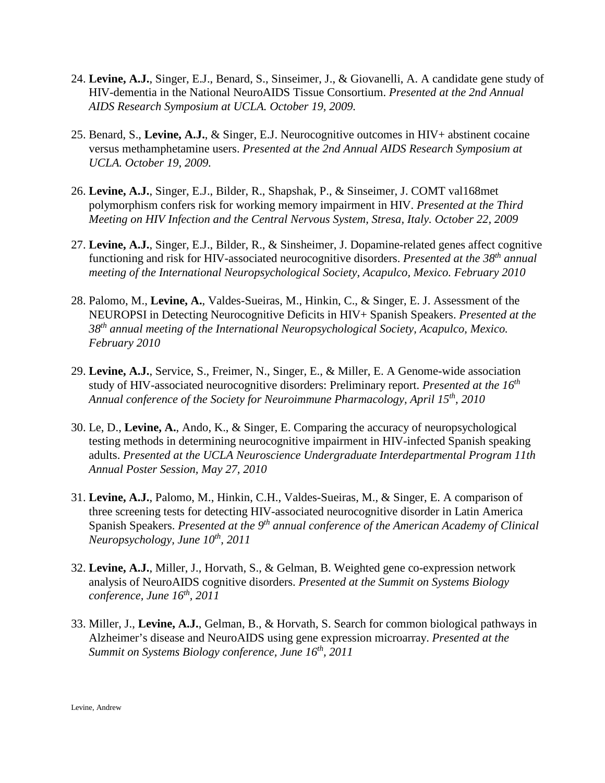- 24. **Levine, A.J.**, Singer, E.J., Benard, S., Sinseimer, J., & Giovanelli, A. A candidate gene study of HIV-dementia in the National NeuroAIDS Tissue Consortium. *Presented at the 2nd Annual AIDS Research Symposium at UCLA. October 19, 2009.*
- 25. Benard, S., **Levine, A.J.**, & Singer, E.J. Neurocognitive outcomes in HIV+ abstinent cocaine versus methamphetamine users. *Presented at the 2nd Annual AIDS Research Symposium at UCLA. October 19, 2009.*
- 26. **Levine, A.J.**, Singer, E.J., Bilder, R., Shapshak, P., & Sinseimer, J. COMT val168met polymorphism confers risk for working memory impairment in HIV. *Presented at the Third Meeting on HIV Infection and the Central Nervous System, Stresa, Italy. October 22, 2009*
- 27. **Levine, A.J.**, Singer, E.J., Bilder, R., & Sinsheimer, J. Dopamine-related genes affect cognitive functioning and risk for HIV-associated neurocognitive disorders. *Presented at the 38th annual meeting of the International Neuropsychological Society, Acapulco, Mexico. February 2010*
- 28. Palomo, M., **Levine, A.**, Valdes-Sueiras, M., Hinkin, C., & Singer, E. J. Assessment of the NEUROPSI in Detecting Neurocognitive Deficits in HIV+ Spanish Speakers. *Presented at the 38th annual meeting of the International Neuropsychological Society, Acapulco, Mexico. February 2010*
- 29. **Levine, A.J.**, Service, S., Freimer, N., Singer, E., & Miller, E. A Genome-wide association study of HIV-associated neurocognitive disorders: Preliminary report. *Presented at the 16th Annual conference of the Society for Neuroimmune Pharmacology, April 15th, 2010*
- 30. Le, D., **Levine, A.**, Ando, K., & Singer, E. Comparing the accuracy of neuropsychological testing methods in determining neurocognitive impairment in HIV-infected Spanish speaking adults. *Presented at the UCLA Neuroscience Undergraduate Interdepartmental Program 11th Annual Poster Session, May 27, 2010*
- 31. **Levine, A.J.**, Palomo, M., Hinkin, C.H., Valdes-Sueiras, M., & Singer, E. A comparison of three screening tests for detecting HIV-associated neurocognitive disorder in Latin America Spanish Speakers. *Presented at the 9th annual conference of the American Academy of Clinical Neuropsychology, June 10th, 2011*
- 32. **Levine, A.J.**, Miller, J., Horvath, S., & Gelman, B. Weighted gene co-expression network analysis of NeuroAIDS cognitive disorders. *Presented at the Summit on Systems Biology conference, June 16th, 2011*
- 33. Miller, J., **Levine, A.J.**, Gelman, B., & Horvath, S. Search for common biological pathways in Alzheimer's disease and NeuroAIDS using gene expression microarray. *Presented at the Summit on Systems Biology conference, June 16th, 2011*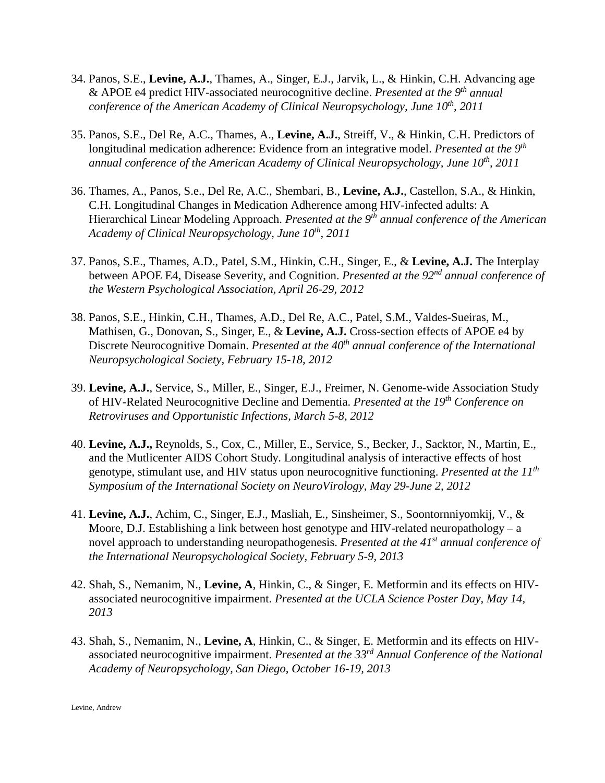- 34. Panos, S.E., **Levine, A.J.**, Thames, A., Singer, E.J., Jarvik, L., & Hinkin, C.H. Advancing age & APOE e4 predict HIV-associated neurocognitive decline. *Presented at the 9th annual conference of the American Academy of Clinical Neuropsychology, June 10<sup>th</sup>, 2011*
- 35. Panos, S.E., Del Re, A.C., Thames, A., **Levine, A.J.**, Streiff, V., & Hinkin, C.H. Predictors of longitudinal medication adherence: Evidence from an integrative model. *Presented at the 9th annual conference of the American Academy of Clinical Neuropsychology, June 10th, 2011*
- 36. Thames, A., Panos, S.e., Del Re, A.C., Shembari, B., **Levine, A.J.**, Castellon, S.A., & Hinkin, C.H. Longitudinal Changes in Medication Adherence among HIV-infected adults: A Hierarchical Linear Modeling Approach. *Presented at the 9th annual conference of the American Academy of Clinical Neuropsychology, June 10th, 2011*
- 37. Panos, S.E., Thames, A.D., Patel, S.M., Hinkin, C.H., Singer, E., & **Levine, A.J.** The Interplay between APOE E4, Disease Severity, and Cognition. *Presented at the 92nd annual conference of the Western Psychological Association, April 26-29, 2012*
- 38. Panos, S.E., Hinkin, C.H., Thames, A.D., Del Re, A.C., Patel, S.M., Valdes-Sueiras, M., Mathisen, G., Donovan, S., Singer, E., & **Levine, A.J.** Cross-section effects of APOE e4 by Discrete Neurocognitive Domain. *Presented at the 40th annual conference of the International Neuropsychological Society, February 15-18, 2012*
- 39. **Levine, A.J.**, Service, S., Miller, E., Singer, E.J., Freimer, N. Genome-wide Association Study of HIV-Related Neurocognitive Decline and Dementia. *Presented at the 19th Conference on Retroviruses and Opportunistic Infections, March 5-8, 2012*
- 40. **Levine, A.J.,** Reynolds, S., Cox, C., Miller, E., Service, S., Becker, J., Sacktor, N., Martin, E., and the Mutlicenter AIDS Cohort Study. Longitudinal analysis of interactive effects of host genotype, stimulant use, and HIV status upon neurocognitive functioning. *Presented at the 11th Symposium of the International Society on NeuroVirology, May 29-June 2, 2012*
- 41. **Levine, A.J.**, Achim, C., Singer, E.J., Masliah, E., Sinsheimer, S., Soontornniyomkij, V., & Moore, D.J. Establishing a link between host genotype and HIV-related neuropathology – a novel approach to understanding neuropathogenesis. *Presented at the 41st annual conference of the International Neuropsychological Society, February 5-9, 2013*
- 42. Shah, S., Nemanim, N., **Levine, A**, Hinkin, C., & Singer, E. Metformin and its effects on HIVassociated neurocognitive impairment. *Presented at the UCLA Science Poster Day, May 14, 2013*
- 43. Shah, S., Nemanim, N., **Levine, A**, Hinkin, C., & Singer, E. Metformin and its effects on HIVassociated neurocognitive impairment. *Presented at the 33rd Annual Conference of the National Academy of Neuropsychology, San Diego, October 16-19, 2013*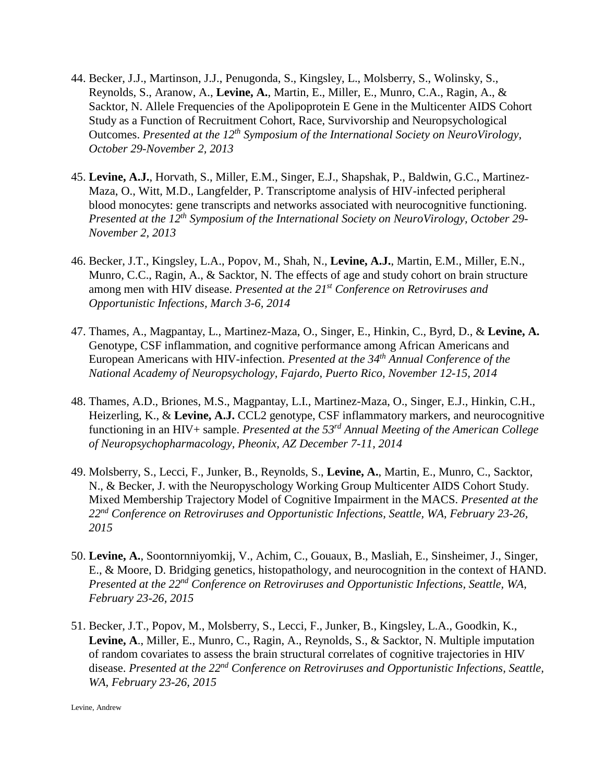- 44. Becker, J.J., Martinson, J.J., Penugonda, S., Kingsley, L., Molsberry, S., Wolinsky, S., Reynolds, S., Aranow, A., **Levine, A.**, Martin, E., Miller, E., Munro, C.A., Ragin, A., & Sacktor, N. Allele Frequencies of the Apolipoprotein E Gene in the Multicenter AIDS Cohort Study as a Function of Recruitment Cohort, Race, Survivorship and Neuropsychological Outcomes. *Presented at the 12th Symposium of the International Society on NeuroVirology, October 29-November 2, 2013*
- 45. **Levine, A.J.**, Horvath, S., Miller, E.M., Singer, E.J., Shapshak, P., Baldwin, G.C., Martinez-Maza, O., Witt, M.D., Langfelder, P. Transcriptome analysis of HIV-infected peripheral blood monocytes: gene transcripts and networks associated with neurocognitive functioning. *Presented at the 12th Symposium of the International Society on NeuroVirology, October 29- November 2, 2013*
- 46. Becker, J.T., Kingsley, L.A., Popov, M., Shah, N., **Levine, A.J.**, Martin, E.M., Miller, E.N., Munro, C.C., Ragin, A., & Sacktor, N. The effects of age and study cohort on brain structure among men with HIV disease. *Presented at the 21st Conference on Retroviruses and Opportunistic Infections, March 3-6, 2014*
- 47. Thames, A., Magpantay, L., Martinez-Maza, O., Singer, E., Hinkin, C., Byrd, D., & **Levine, A.**  Genotype, CSF inflammation, and cognitive performance among African Americans and European Americans with HIV-infection. *Presented at the 34th Annual Conference of the National Academy of Neuropsychology, Fajardo, Puerto Rico, November 12-15, 2014*
- 48. Thames, A.D., Briones, M.S., Magpantay, L.I., Martinez-Maza, O., Singer, E.J., Hinkin, C.H., Heizerling, K., & Levine, A.J. CCL2 genotype, CSF inflammatory markers, and neurocognitive functioning in an HIV+ sample. *Presented at the 53rd Annual Meeting of the American College of Neuropsychopharmacology, Pheonix, AZ December 7-11, 2014*
- 49. Molsberry, S., Lecci, F., Junker, B., Reynolds, S., **Levine, A.**, Martin, E., Munro, C., Sacktor, N., & Becker, J. with the Neuropyschology Working Group Multicenter AIDS Cohort Study. Mixed Membership Trajectory Model of Cognitive Impairment in the MACS. *Presented at the 22nd Conference on Retroviruses and Opportunistic Infections, Seattle, WA, February 23-26, 2015*
- 50. **Levine, A.**, Soontornniyomkij, V., Achim, C., Gouaux, B., Masliah, E., Sinsheimer, J., Singer, E., & Moore, D. Bridging genetics, histopathology, and neurocognition in the context of HAND. *Presented at the 22nd Conference on Retroviruses and Opportunistic Infections, Seattle, WA, February 23-26, 2015*
- 51. Becker, J.T., Popov, M., Molsberry, S., Lecci, F., Junker, B., Kingsley, L.A., Goodkin, K., **Levine, A**., Miller, E., Munro, C., Ragin, A., Reynolds, S., & Sacktor, N. Multiple imputation of random covariates to assess the brain structural correlates of cognitive trajectories in HIV disease. *Presented at the 22nd Conference on Retroviruses and Opportunistic Infections, Seattle, WA, February 23-26, 2015*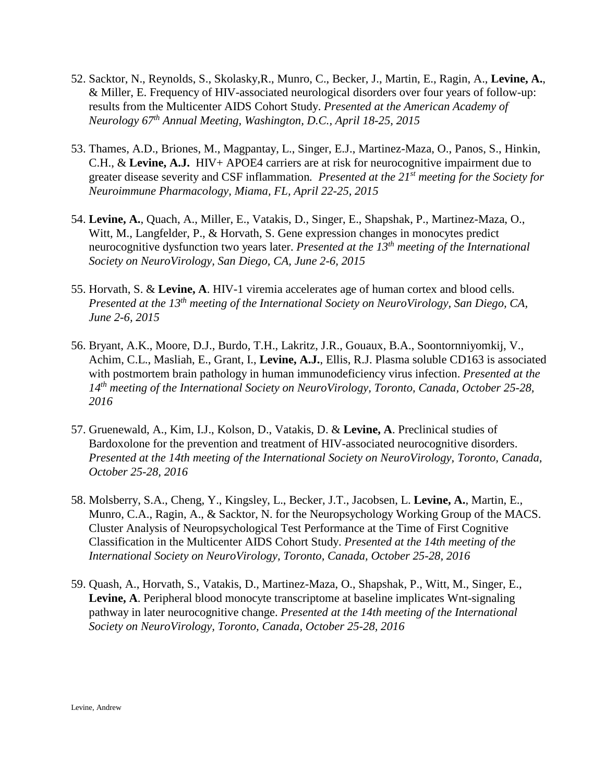- 52. Sacktor, N., Reynolds, S., Skolasky,R., Munro, C., Becker, J., Martin, E., Ragin, A., **Levine, A.**, & Miller, E. Frequency of HIV-associated neurological disorders over four years of follow-up: results from the Multicenter AIDS Cohort Study. *Presented at the American Academy of Neurology 67th Annual Meeting, Washington, D.C., April 18-25, 2015*
- 53. Thames, A.D., Briones, M., Magpantay, L., Singer, E.J., Martinez-Maza, O., Panos, S., Hinkin, C.H., & **Levine, A.J.** HIV+ APOE4 carriers are at risk for neurocognitive impairment due to greater disease severity and CSF inflammation*. Presented at the 21st meeting for the Society for Neuroimmune Pharmacology, Miama, FL, April 22-25, 2015*
- 54. **Levine, A.**, Quach, A., Miller, E., Vatakis, D., Singer, E., Shapshak, P., Martinez-Maza, O., Witt, M., Langfelder, P., & Horvath, S. Gene expression changes in monocytes predict neurocognitive dysfunction two years later. *Presented at the 13th meeting of the International Society on NeuroVirology, San Diego, CA, June 2-6, 2015*
- 55. Horvath, S. & **Levine, A**. HIV-1 viremia accelerates age of human cortex and blood cells. *Presented at the 13th meeting of the International Society on NeuroVirology, San Diego, CA, June 2-6, 2015*
- 56. Bryant, A.K., Moore, D.J., Burdo, T.H., Lakritz, J.R., Gouaux, B.A., Soontornniyomkij, V., Achim, C.L., Masliah, E., Grant, I., **Levine, A.J.**, Ellis, R.J. Plasma soluble CD163 is associated with postmortem brain pathology in human immunodeficiency virus infection. *Presented at the 14th meeting of the International Society on NeuroVirology, Toronto, Canada, October 25-28, 2016*
- 57. Gruenewald, A., Kim, I.J., Kolson, D., Vatakis, D. & **Levine, A**. Preclinical studies of Bardoxolone for the prevention and treatment of HIV-associated neurocognitive disorders. *Presented at the 14th meeting of the International Society on NeuroVirology, Toronto, Canada, October 25-28, 2016*
- 58. Molsberry, S.A., Cheng, Y., Kingsley, L., Becker, J.T., Jacobsen, L. **Levine, A.**, Martin, E., Munro, C.A., Ragin, A., & Sacktor, N. for the Neuropsychology Working Group of the MACS. Cluster Analysis of Neuropsychological Test Performance at the Time of First Cognitive Classification in the Multicenter AIDS Cohort Study. *Presented at the 14th meeting of the International Society on NeuroVirology, Toronto, Canada, October 25-28, 2016*
- 59. Quash, A., Horvath, S., Vatakis, D., Martinez-Maza, O., Shapshak, P., Witt, M., Singer, E., **Levine, A**. Peripheral blood monocyte transcriptome at baseline implicates Wnt-signaling pathway in later neurocognitive change. *Presented at the 14th meeting of the International Society on NeuroVirology, Toronto, Canada, October 25-28, 2016*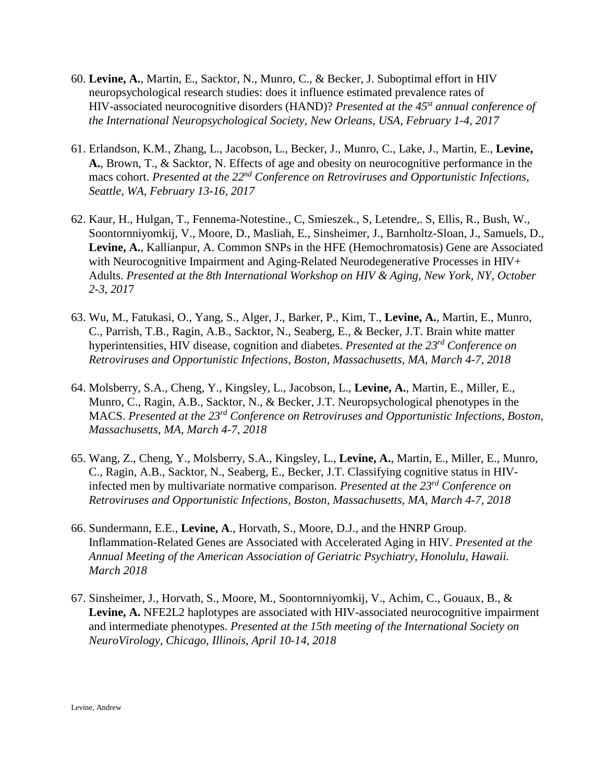- 60. **Levine, A.**, Martin, E., Sacktor, N., Munro, C., & Becker, J. Suboptimal effort in HIV neuropsychological research studies: does it influence estimated prevalence rates of HIV-associated neurocognitive disorders (HAND)? *Presented at the 45st annual conference of the International Neuropsychological Society, New Orleans, USA, February 1-4, 2017*
- 61. Erlandson, K.M., Zhang, L., Jacobson, L., Becker, J., Munro, C., Lake, J., Martin, E., **Levine, A.**, Brown, T., & Sacktor, N. Effects of age and obesity on neurocognitive performance in the macs cohort. *Presented at the 22nd Conference on Retroviruses and Opportunistic Infections, Seattle, WA, February 13-16, 2017*
- 62. Kaur, H., Hulgan, T., Fennema-Notestine., C, Smieszek., S, Letendre,. S, Ellis, R., Bush, W., Soontornniyomkij, V., Moore, D., Masliah, E., Sinsheimer, J., Barnholtz-Sloan, J., Samuels, D., **Levine, A.**, Kallianpur, A. Common SNPs in the HFE (Hemochromatosis) Gene are Associated with Neurocognitive Impairment and Aging-Related Neurodegenerative Processes in HIV+ Adults. *Presented at the 8th International Workshop on HIV & Aging, New York, NY, October 2-3, 201*7
- 63. Wu, M., Fatukasi, O., Yang, S., Alger, J., Barker, P., Kim, T., **Levine, A.**, Martin, E., Munro, C., Parrish, T.B., Ragin, A.B., Sacktor, N., Seaberg, E., & Becker, J.T. Brain white matter hyperintensities, HIV disease, cognition and diabetes. *Presented at the 23rd Conference on Retroviruses and Opportunistic Infections, Boston, Massachusetts, MA, March 4-7, 2018*
- 64. Molsberry, S.A., Cheng, Y., Kingsley, L., Jacobson, L., **Levine, A.**, Martin, E., Miller, E., Munro, C., Ragin, A.B., Sacktor, N., & Becker, J.T. Neuropsychological phenotypes in the MACS. *Presented at the 23rd Conference on Retroviruses and Opportunistic Infections, Boston, Massachusetts, MA, March 4-7, 2018*
- 65. Wang, Z., Cheng, Y., Molsberry, S.A., Kingsley, L., **Levine, A.**, Martin, E., Miller, E., Munro, C., Ragin, A.B., Sacktor, N., Seaberg, E., Becker, J.T. Classifying cognitive status in HIVinfected men by multivariate normative comparison. *Presented at the 23rd Conference on Retroviruses and Opportunistic Infections, Boston, Massachusetts, MA, March 4-7, 2018*
- 66. Sundermann, E.E., **Levine, A**., Horvath, S., Moore, D.J., and the HNRP Group. Inflammation-Related Genes are Associated with Accelerated Aging in HIV. *Presented at the Annual Meeting of the American Association of Geriatric Psychiatry, Honolulu, Hawaii. March 2018*
- 67. Sinsheimer, J., Horvath, S., Moore, M., Soontornniyomkij, V., Achim, C., Gouaux, B., & **Levine, A.** NFE2L2 haplotypes are associated with HIV-associated neurocognitive impairment and intermediate phenotypes. *Presented at the 15th meeting of the International Society on NeuroVirology, Chicago, Illinois, April 10-14, 2018*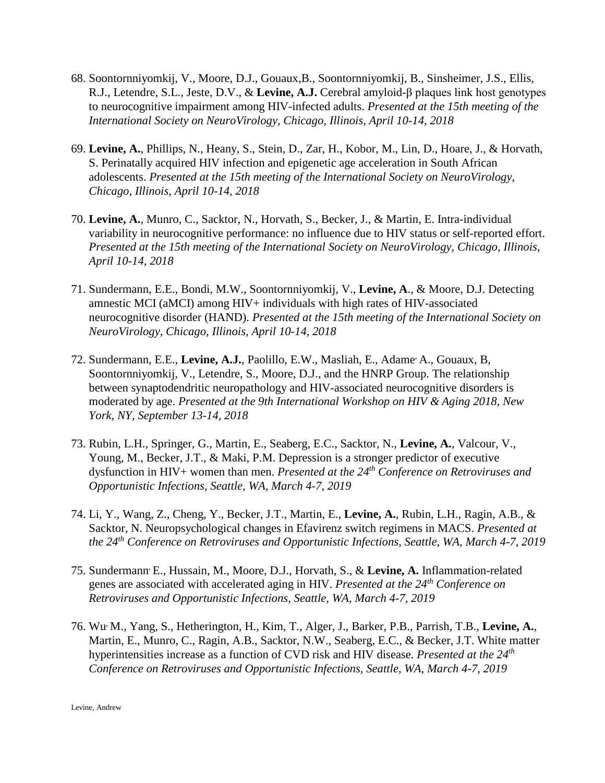- 68. Soontornniyomkij, V., Moore, D.J., Gouaux,B., Soontornniyomkij, B., Sinsheimer, J.S., Ellis, R.J., Letendre, S.L., Jeste, D.V., & **Levine, A.J.** Cerebral amyloid-β plaques link host genotypes to neurocognitive impairment among HIV-infected adults. *Presented at the 15th meeting of the International Society on NeuroVirology, Chicago, Illinois, April 10-14, 2018*
- 69. **Levine, A.**, Phillips, N., Heany, S., Stein, D., Zar, H., Kobor, M., Lin, D., Hoare, J., & Horvath, S. Perinatally acquired HIV infection and epigenetic age acceleration in South African adolescents. *Presented at the 15th meeting of the International Society on NeuroVirology, Chicago, Illinois, April 10-14, 2018*
- 70. **Levine, A.**, Munro, C., Sacktor, N., Horvath, S., Becker, J., & Martin, E. Intra-individual variability in neurocognitive performance: no influence due to HIV status or self-reported effort. *Presented at the 15th meeting of the International Society on NeuroVirology, Chicago, Illinois, April 10-14, 2018*
- 71. Sundermann, E.E., Bondi, M.W., Soontornniyomkij, V., **Levine, A**., & Moore, D.J. Detecting amnestic MCI (aMCI) among HIV+ individuals with high rates of HIV-associated neurocognitive disorder (HAND). *Presented at the 15th meeting of the International Society on NeuroVirology, Chicago, Illinois, April 10-14, 2018*
- 72. Sundermann, E.E., **Levine, A.J.**, Paolillo, E.W., Masliah, E., Adame, A., Gouaux, B, Soontornniyomkij, V., Letendre, S., Moore, D.J., and the HNRP Group. The relationship between synaptodendritic neuropathology and HIV-associated neurocognitive disorders is moderated by age. *Presented at the 9th International Workshop on HIV & Aging 2018, New York, NY, September 13-14, 2018*
- 73. Rubin, L.H., Springer, G., Martin, E., Seaberg, E.C., Sacktor, N., **Levine, A.**, Valcour, V., Young, M., Becker, J.T., & Maki, P.M. Depression is a stronger predictor of executive dysfunction in HIV+ women than men. *Presented at the 24th Conference on Retroviruses and Opportunistic Infections, Seattle, WA, March 4-7, 2019*
- 74. Li, Y., Wang, Z., Cheng, Y., Becker, J.T., Martin, E., **Levine, A.**, Rubin, L.H., Ragin, A.B., & Sacktor, N. Neuropsychological changes in Efavirenz switch regimens in MACS. *Presented at the 24th Conference on Retroviruses and Opportunistic Infections, Seattle, WA, March 4-7, 2019*
- 75. Sundermann, E., Hussain, M., Moore, D.J., Horvath, S., & **Levine, A.** Inflammation-related genes are associated with accelerated aging in HIV. *Presented at the 24th Conference on Retroviruses and Opportunistic Infections, Seattle, WA, March 4-7, 2019*
- 76. Wu, M., Yang, S., Hetherington, H., Kim, T., Alger, J., Barker, P.B., Parrish, T.B., **Levine, A.**, Martin, E., Munro, C., Ragin, A.B., Sacktor, N.W., Seaberg, E.C., & Becker, J.T. White matter hyperintensities increase as a function of CVD risk and HIV disease. *Presented at the 24th Conference on Retroviruses and Opportunistic Infections, Seattle, WA, March 4-7, 2019*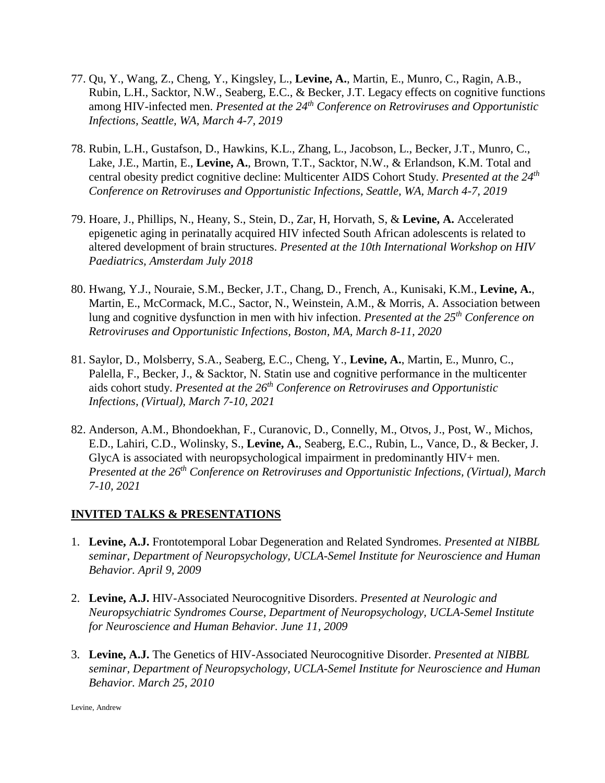- 77. Qu, Y., Wang, Z., Cheng, Y., Kingsley, L., **Levine, A.**, Martin, E., Munro, C., Ragin, A.B., Rubin, L.H., Sacktor, N.W., Seaberg, E.C., & Becker, J.T. Legacy effects on cognitive functions among HIV-infected men. *Presented at the 24th Conference on Retroviruses and Opportunistic Infections, Seattle, WA, March 4-7, 2019*
- 78. Rubin, L.H., Gustafson, D., Hawkins, K.L., Zhang, L., Jacobson, L., Becker, J.T., Munro, C., Lake, J.E., Martin, E., **Levine, A.**, Brown, T.T., Sacktor, N.W., & Erlandson, K.M. Total and central obesity predict cognitive decline: Multicenter AIDS Cohort Study. *Presented at the 24th Conference on Retroviruses and Opportunistic Infections, Seattle, WA, March 4-7, 2019*
- 79. Hoare, J., Phillips, N., Heany, S., Stein, D., Zar, H, Horvath, S, & **Levine, A.** Accelerated epigenetic aging in perinatally acquired HIV infected South African adolescents is related to altered development of brain structures. *Presented at the 10th International Workshop on HIV Paediatrics, Amsterdam July 2018*
- 80. Hwang, Y.J., Nouraie, S.M., Becker, J.T., Chang, D., French, A., Kunisaki, K.M., **Levine, A.**, Martin, E., McCormack, M.C., Sactor, N., Weinstein, A.M., & Morris, A. Association between lung and cognitive dysfunction in men with hiv infection. *Presented at the 25th Conference on Retroviruses and Opportunistic Infections, Boston, MA, March 8-11, 2020*
- 81. Saylor, D., Molsberry, S.A., Seaberg, E.C., Cheng, Y., **Levine, A.**, Martin, E., Munro, C., Palella, F., Becker, J., & Sacktor, N. Statin use and cognitive performance in the multicenter aids cohort study. *Presented at the 26th Conference on Retroviruses and Opportunistic Infections, (Virtual), March 7-10, 2021*
- 82. Anderson, A.M., Bhondoekhan, F., Curanovic, D., Connelly, M., Otvos, J., Post, W., Michos, E.D., Lahiri, C.D., Wolinsky, S., **Levine, A.**, Seaberg, E.C., Rubin, L., Vance, D., & Becker, J. GlycA is associated with neuropsychological impairment in predominantly HIV+ men. *Presented at the 26th Conference on Retroviruses and Opportunistic Infections, (Virtual), March 7-10, 2021*

#### **INVITED TALKS & PRESENTATIONS**

- 1. **Levine, A.J.** Frontotemporal Lobar Degeneration and Related Syndromes. *Presented at NIBBL seminar, Department of Neuropsychology, UCLA-Semel Institute for Neuroscience and Human Behavior. April 9, 2009*
- 2. **Levine, A.J.** HIV-Associated Neurocognitive Disorders. *Presented at Neurologic and Neuropsychiatric Syndromes Course, Department of Neuropsychology, UCLA-Semel Institute for Neuroscience and Human Behavior. June 11, 2009*
- 3. **Levine, A.J.** The Genetics of HIV-Associated Neurocognitive Disorder. *Presented at NIBBL seminar, Department of Neuropsychology, UCLA-Semel Institute for Neuroscience and Human Behavior. March 25, 2010*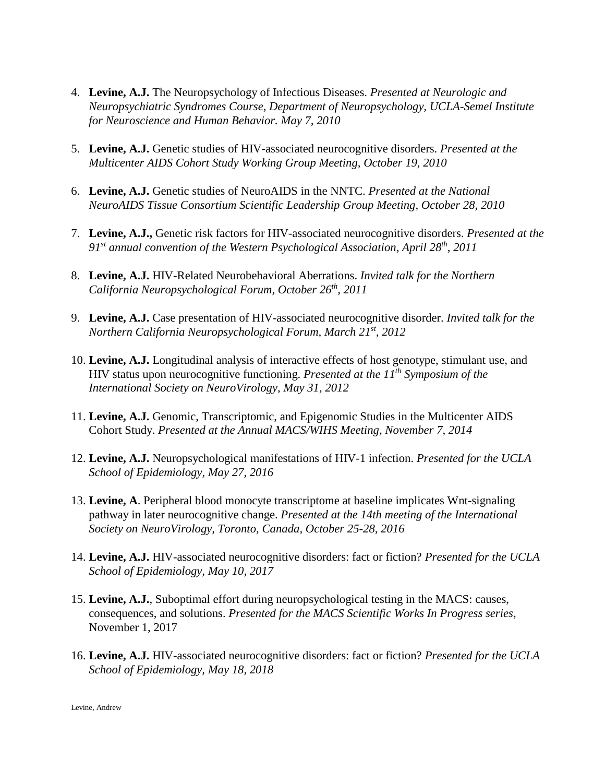- 4. **Levine, A.J.** The Neuropsychology of Infectious Diseases. *Presented at Neurologic and Neuropsychiatric Syndromes Course, Department of Neuropsychology, UCLA-Semel Institute for Neuroscience and Human Behavior. May 7, 2010*
- 5. **Levine, A.J.** Genetic studies of HIV-associated neurocognitive disorders. *Presented at the Multicenter AIDS Cohort Study Working Group Meeting, October 19, 2010*
- 6. **Levine, A.J.** Genetic studies of NeuroAIDS in the NNTC. *Presented at the National NeuroAIDS Tissue Consortium Scientific Leadership Group Meeting, October 28, 2010*
- 7. **Levine, A.J.,** Genetic risk factors for HIV-associated neurocognitive disorders. *Presented at the 91st annual convention of the Western Psychological Association, April 28th, 2011*
- 8. **Levine, A.J.** HIV-Related Neurobehavioral Aberrations. *Invited talk for the Northern California Neuropsychological Forum, October 26th, 2011*
- 9. **Levine, A.J.** Case presentation of HIV-associated neurocognitive disorder. *Invited talk for the Northern California Neuropsychological Forum, March 21st, 2012*
- 10. **Levine, A.J.** Longitudinal analysis of interactive effects of host genotype, stimulant use, and HIV status upon neurocognitive functioning. *Presented at the 11<sup>th</sup> Symposium of the International Society on NeuroVirology, May 31, 2012*
- 11. **Levine, A.J.** Genomic, Transcriptomic, and Epigenomic Studies in the Multicenter AIDS Cohort Study. *Presented at the Annual MACS/WIHS Meeting, November 7, 2014*
- 12. **Levine, A.J.** Neuropsychological manifestations of HIV-1 infection. *Presented for the UCLA School of Epidemiology, May 27, 2016*
- 13. **Levine, A**. Peripheral blood monocyte transcriptome at baseline implicates Wnt-signaling pathway in later neurocognitive change. *Presented at the 14th meeting of the International Society on NeuroVirology, Toronto, Canada, October 25-28, 2016*
- 14. **Levine, A.J.** HIV-associated neurocognitive disorders: fact or fiction? *Presented for the UCLA School of Epidemiology, May 10, 2017*
- 15. **Levine, A.J.**, Suboptimal effort during neuropsychological testing in the MACS: causes, consequences, and solutions. *Presented for the MACS Scientific Works In Progress series*, November 1, 2017
- 16. **Levine, A.J.** HIV-associated neurocognitive disorders: fact or fiction? *Presented for the UCLA School of Epidemiology, May 18, 2018*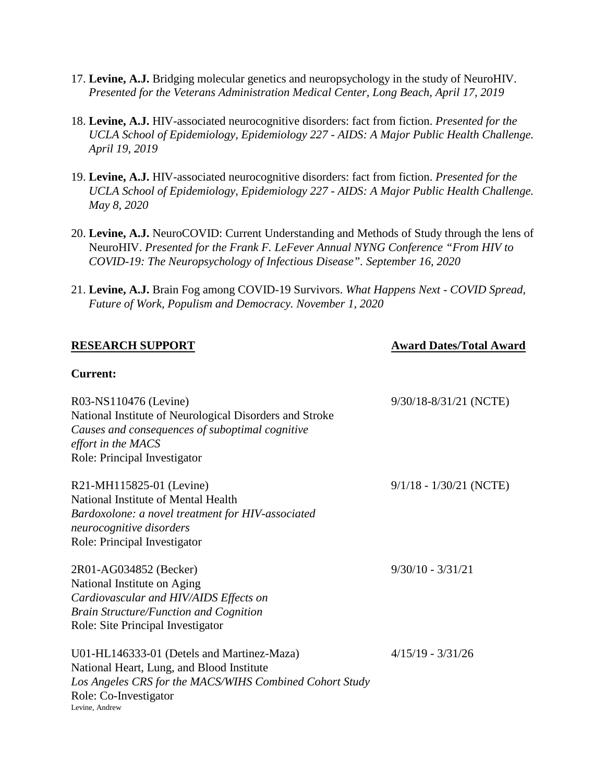- 17. **Levine, A.J.** Bridging molecular genetics and neuropsychology in the study of NeuroHIV. *Presented for the Veterans Administration Medical Center, Long Beach, April 17, 2019*
- 18. **Levine, A.J.** HIV-associated neurocognitive disorders: fact from fiction. *Presented for the UCLA School of Epidemiology, Epidemiology 227 - AIDS: A Major Public Health Challenge. April 19, 2019*
- 19. **Levine, A.J.** HIV-associated neurocognitive disorders: fact from fiction. *Presented for the UCLA School of Epidemiology, Epidemiology 227 - AIDS: A Major Public Health Challenge. May 8, 2020*
- 20. **Levine, A.J.** NeuroCOVID: Current Understanding and Methods of Study through the lens of NeuroHIV. *Presented for the Frank F. LeFever Annual NYNG Conference "From HIV to COVID-19: The Neuropsychology of Infectious Disease". September 16, 2020*
- 21. **Levine, A.J.** Brain Fog among COVID-19 Survivors. *What Happens Next - COVID Spread, Future of Work, Populism and Democracy. November 1, 2020*

#### **RESEARCH SUPPORT Award Dates/Total Award**

#### **Current:**

| R03-NS110476 (Levine)<br>National Institute of Neurological Disorders and Stroke<br>Causes and consequences of suboptimal cognitive<br>effort in the MACS<br>Role: Principal Investigator     | 9/30/18-8/31/21 (NCTE)    |
|-----------------------------------------------------------------------------------------------------------------------------------------------------------------------------------------------|---------------------------|
| R21-MH115825-01 (Levine)<br>National Institute of Mental Health<br>Bardoxolone: a novel treatment for HIV-associated<br>neurocognitive disorders<br>Role: Principal Investigator              | $9/1/18 - 1/30/21$ (NCTE) |
| 2R01-AG034852 (Becker)<br>National Institute on Aging<br>Cardiovascular and HIV/AIDS Effects on<br><b>Brain Structure/Function and Cognition</b><br>Role: Site Principal Investigator         | $9/30/10 - 3/31/21$       |
| U01-HL146333-01 (Detels and Martinez-Maza)<br>National Heart, Lung, and Blood Institute<br>Los Angeles CRS for the MACS/WIHS Combined Cohort Study<br>Role: Co-Investigator<br>Levine, Andrew | $4/15/19 - 3/31/26$       |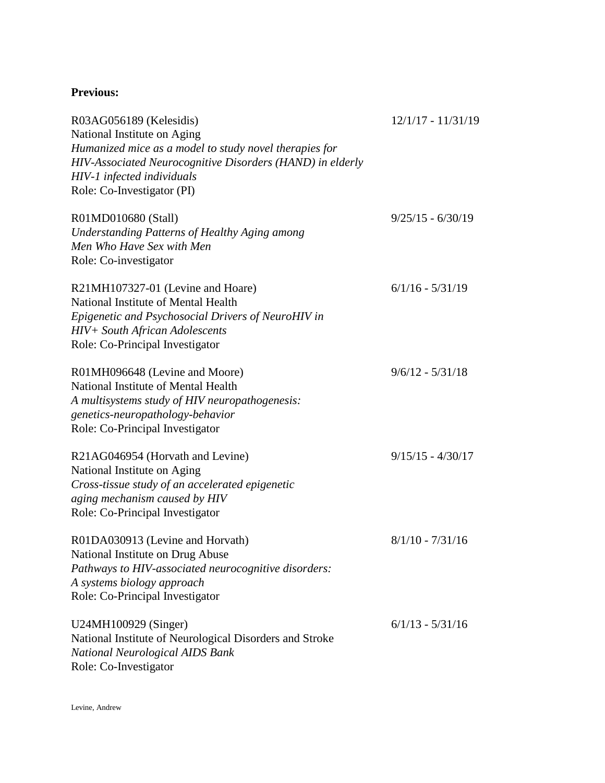## **Previous:**

| R03AG056189 (Kelesidis)<br>National Institute on Aging<br>Humanized mice as a model to study novel therapies for<br>HIV-Associated Neurocognitive Disorders (HAND) in elderly<br>HIV-1 infected individuals<br>Role: Co-Investigator (PI) | $12/1/17 - 11/31/19$ |
|-------------------------------------------------------------------------------------------------------------------------------------------------------------------------------------------------------------------------------------------|----------------------|
| R01MD010680 (Stall)<br><b>Understanding Patterns of Healthy Aging among</b><br>Men Who Have Sex with Men<br>Role: Co-investigator                                                                                                         | $9/25/15 - 6/30/19$  |
| R21MH107327-01 (Levine and Hoare)<br>National Institute of Mental Health<br>Epigenetic and Psychosocial Drivers of NeuroHIV in<br>HIV+ South African Adolescents<br>Role: Co-Principal Investigator                                       | $6/1/16 - 5/31/19$   |
| R01MH096648 (Levine and Moore)<br>National Institute of Mental Health<br>A multisystems study of HIV neuropathogenesis:<br>genetics-neuropathology-behavior<br>Role: Co-Principal Investigator                                            | $9/6/12 - 5/31/18$   |
| R21AG046954 (Horvath and Levine)<br>National Institute on Aging<br>Cross-tissue study of an accelerated epigenetic<br>aging mechanism caused by HIV<br>Role: Co-Principal Investigator                                                    | $9/15/15 - 4/30/17$  |
| R01DA030913 (Levine and Horvath)<br>National Institute on Drug Abuse<br>Pathways to HIV-associated neurocognitive disorders:<br>A systems biology approach<br>Role: Co-Principal Investigator                                             | $8/1/10 - 7/31/16$   |
| U24MH100929 (Singer)<br>National Institute of Neurological Disorders and Stroke<br><b>National Neurological AIDS Bank</b><br>Role: Co-Investigator                                                                                        | $6/1/13 - 5/31/16$   |